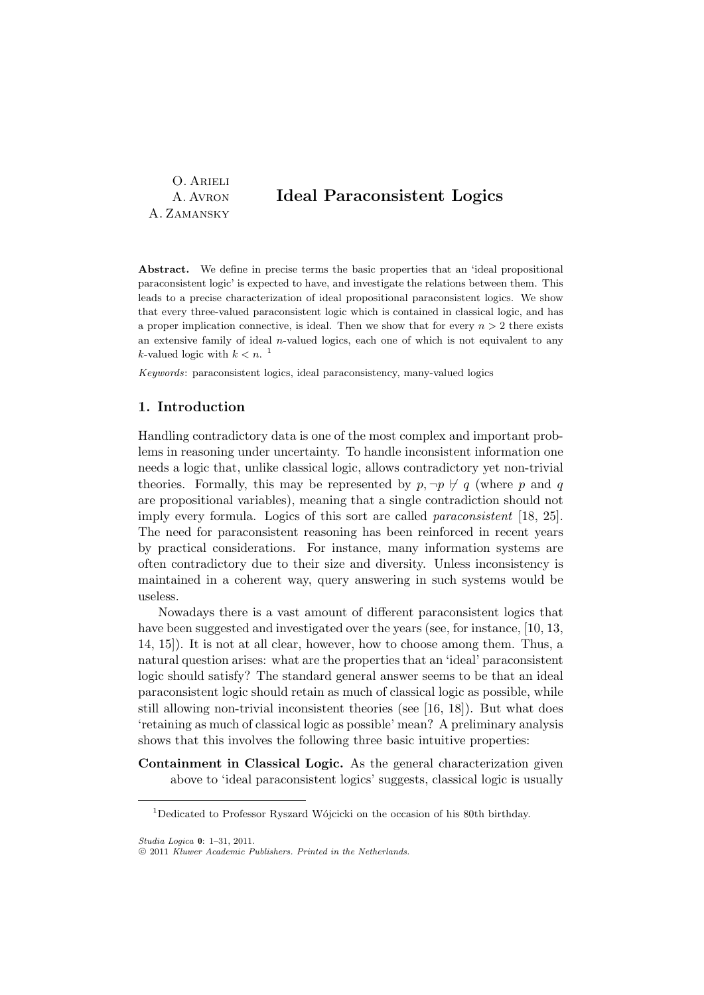O. Arieli A. Avron A. Zamansky

# Ideal Paraconsistent Logics

Abstract. We define in precise terms the basic properties that an 'ideal propositional paraconsistent logic' is expected to have, and investigate the relations between them. This leads to a precise characterization of ideal propositional paraconsistent logics. We show that every three-valued paraconsistent logic which is contained in classical logic, and has a proper implication connective, is ideal. Then we show that for every  $n > 2$  there exists an extensive family of ideal  $n$ -valued logics, each one of which is not equivalent to any *k*-valued logic with  $k < n$ .<sup>1</sup>

Keywords: paraconsistent logics, ideal paraconsistency, many-valued logics

# 1. Introduction

Handling contradictory data is one of the most complex and important problems in reasoning under uncertainty. To handle inconsistent information one needs a logic that, unlike classical logic, allows contradictory yet non-trivial theories. Formally, this may be represented by  $p, \neg p \nleftrightarrow q$  (where p and q are propositional variables), meaning that a single contradiction should not imply every formula. Logics of this sort are called paraconsistent [18, 25]. The need for paraconsistent reasoning has been reinforced in recent years by practical considerations. For instance, many information systems are often contradictory due to their size and diversity. Unless inconsistency is maintained in a coherent way, query answering in such systems would be useless.

Nowadays there is a vast amount of different paraconsistent logics that have been suggested and investigated over the years (see, for instance, [10, 13, 14, 15]). It is not at all clear, however, how to choose among them. Thus, a natural question arises: what are the properties that an 'ideal' paraconsistent logic should satisfy? The standard general answer seems to be that an ideal paraconsistent logic should retain as much of classical logic as possible, while still allowing non-trivial inconsistent theories (see [16, 18]). But what does 'retaining as much of classical logic as possible' mean? A preliminary analysis shows that this involves the following three basic intuitive properties:

Containment in Classical Logic. As the general characterization given above to 'ideal paraconsistent logics' suggests, classical logic is usually

 $^1$ Dedicated to Professor Ryszard Wójcicki on the occasion of his 80th birthday.

Studia Logica 0: 1–31, 2011.

c 2011 Kluwer Academic Publishers. Printed in the Netherlands.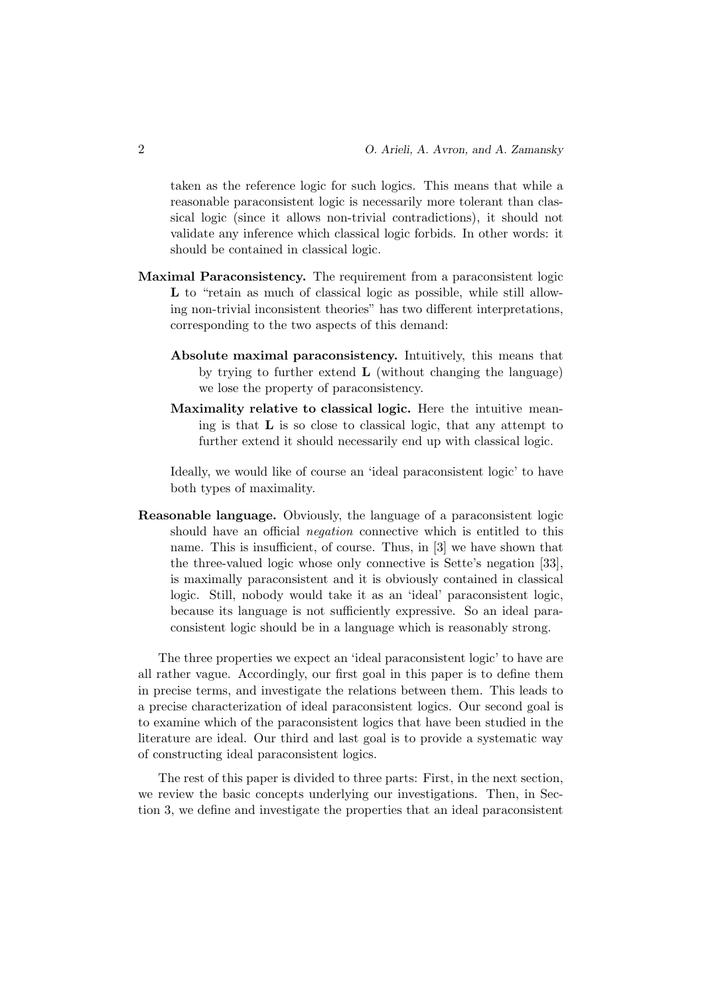taken as the reference logic for such logics. This means that while a reasonable paraconsistent logic is necessarily more tolerant than classical logic (since it allows non-trivial contradictions), it should not validate any inference which classical logic forbids. In other words: it should be contained in classical logic.

- Maximal Paraconsistency. The requirement from a paraconsistent logic L to "retain as much of classical logic as possible, while still allowing non-trivial inconsistent theories" has two different interpretations, corresponding to the two aspects of this demand:
	- Absolute maximal paraconsistency. Intuitively, this means that by trying to further extend  $\bf{L}$  (without changing the language) we lose the property of paraconsistency.
	- Maximality relative to classical logic. Here the intuitive meaning is that L is so close to classical logic, that any attempt to further extend it should necessarily end up with classical logic.

Ideally, we would like of course an 'ideal paraconsistent logic' to have both types of maximality.

Reasonable language. Obviously, the language of a paraconsistent logic should have an official negation connective which is entitled to this name. This is insufficient, of course. Thus, in [3] we have shown that the three-valued logic whose only connective is Sette's negation [33], is maximally paraconsistent and it is obviously contained in classical logic. Still, nobody would take it as an 'ideal' paraconsistent logic, because its language is not sufficiently expressive. So an ideal paraconsistent logic should be in a language which is reasonably strong.

The three properties we expect an 'ideal paraconsistent logic' to have are all rather vague. Accordingly, our first goal in this paper is to define them in precise terms, and investigate the relations between them. This leads to a precise characterization of ideal paraconsistent logics. Our second goal is to examine which of the paraconsistent logics that have been studied in the literature are ideal. Our third and last goal is to provide a systematic way of constructing ideal paraconsistent logics.

The rest of this paper is divided to three parts: First, in the next section, we review the basic concepts underlying our investigations. Then, in Section 3, we define and investigate the properties that an ideal paraconsistent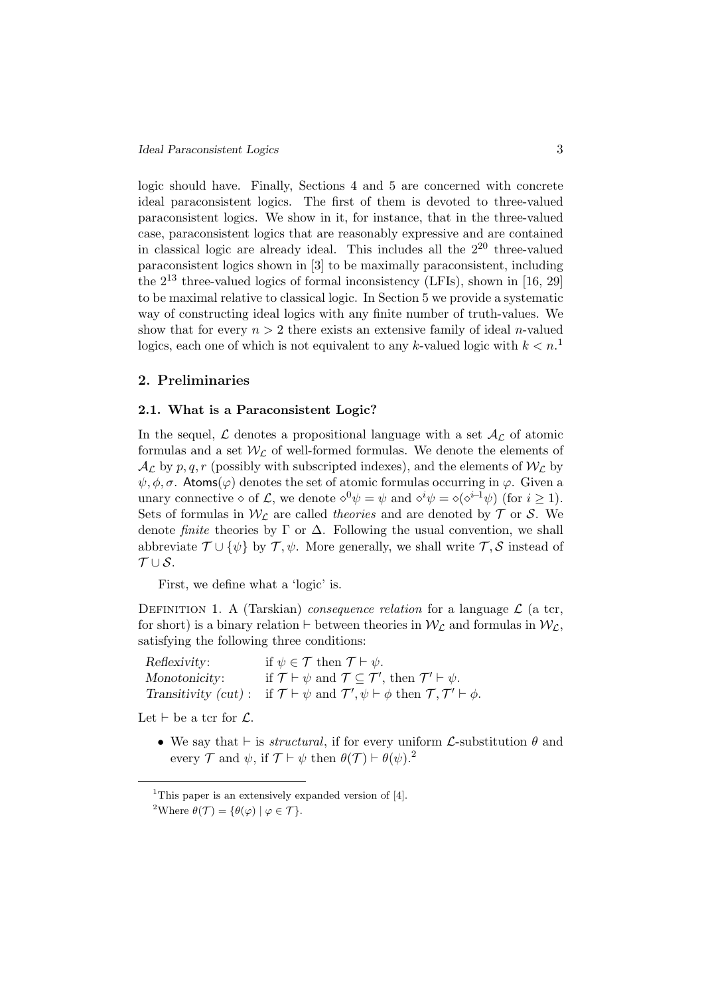logic should have. Finally, Sections 4 and 5 are concerned with concrete ideal paraconsistent logics. The first of them is devoted to three-valued paraconsistent logics. We show in it, for instance, that in the three-valued case, paraconsistent logics that are reasonably expressive and are contained in classical logic are already ideal. This includes all the  $2^{20}$  three-valued paraconsistent logics shown in [3] to be maximally paraconsistent, including the  $2^{13}$  three-valued logics of formal inconsistency (LFIs), shown in [16, 29] to be maximal relative to classical logic. In Section 5 we provide a systematic way of constructing ideal logics with any finite number of truth-values. We show that for every  $n > 2$  there exists an extensive family of ideal *n*-valued logics, each one of which is not equivalent to any k-valued logic with  $k < n$ .<sup>1</sup>

## 2. Preliminaries

## 2.1. What is a Paraconsistent Logic?

In the sequel,  $\mathcal L$  denotes a propositional language with a set  $\mathcal A_{\mathcal L}$  of atomic formulas and a set  $W_{\mathcal{L}}$  of well-formed formulas. We denote the elements of  $\mathcal{A}_{\mathcal{L}}$  by p, q, r (possibly with subscripted indexes), and the elements of  $\mathcal{W}_{\mathcal{L}}$  by  $\psi, \phi, \sigma$ . Atoms( $\varphi$ ) denotes the set of atomic formulas occurring in  $\varphi$ . Given a unary connective  $\Diamond$  of  $\mathcal{L}$ , we denote  $\Diamond^0 \psi = \psi$  and  $\Diamond^i \psi = \Diamond (\Diamond^{i-1} \psi)$  (for  $i \geq 1$ ). Sets of formulas in  $W_c$  are called theories and are denoted by  $\mathcal T$  or  $\mathcal S$ . We denote *finite* theories by  $\Gamma$  or  $\Delta$ . Following the usual convention, we shall abbreviate  $\mathcal{T} \cup {\psi}$  by  $\mathcal{T}, \psi$ . More generally, we shall write  $\mathcal{T}, \mathcal{S}$  instead of  $T\cup S$ .

First, we define what a 'logic' is.

DEFINITION 1. A (Tarskian) *consequence relation* for a language  $\mathcal{L}$  (a tcr, for short) is a binary relation  $\vdash$  between theories in  $W_{\mathcal{L}}$  and formulas in  $W_{\mathcal{L}}$ , satisfying the following three conditions:

Reflexivity: if  $\psi \in \mathcal{T}$  then  $\mathcal{T} \vdash \psi$ . Monotonicity: if  $\mathcal{T} \vdash \psi$  and  $\mathcal{T} \subseteq \mathcal{T}'$ , then  $\mathcal{T}' \vdash \psi$ . Transitivity  $(cut)$ :  $\mathcal{I}, \psi \vdash \phi \text{ then } \mathcal{T}, \mathcal{T}' \vdash \phi.$ 

Let  $\vdash$  be a tcr for  $\mathcal{L}$ .

• We say that  $\vdash$  is *structural*, if for every uniform  $\mathcal{L}$ -substitution  $\theta$  and every  $\mathcal T$  and  $\psi$ , if  $\mathcal T \vdash \psi$  then  $\theta(\mathcal T) \vdash \theta(\psi)$ .<sup>2</sup>

<sup>&</sup>lt;sup>1</sup>This paper is an extensively expanded version of  $[4]$ . <sup>2</sup>Where  $\theta(\mathcal{T}) = {\theta(\varphi) | \varphi \in \mathcal{T}}$ .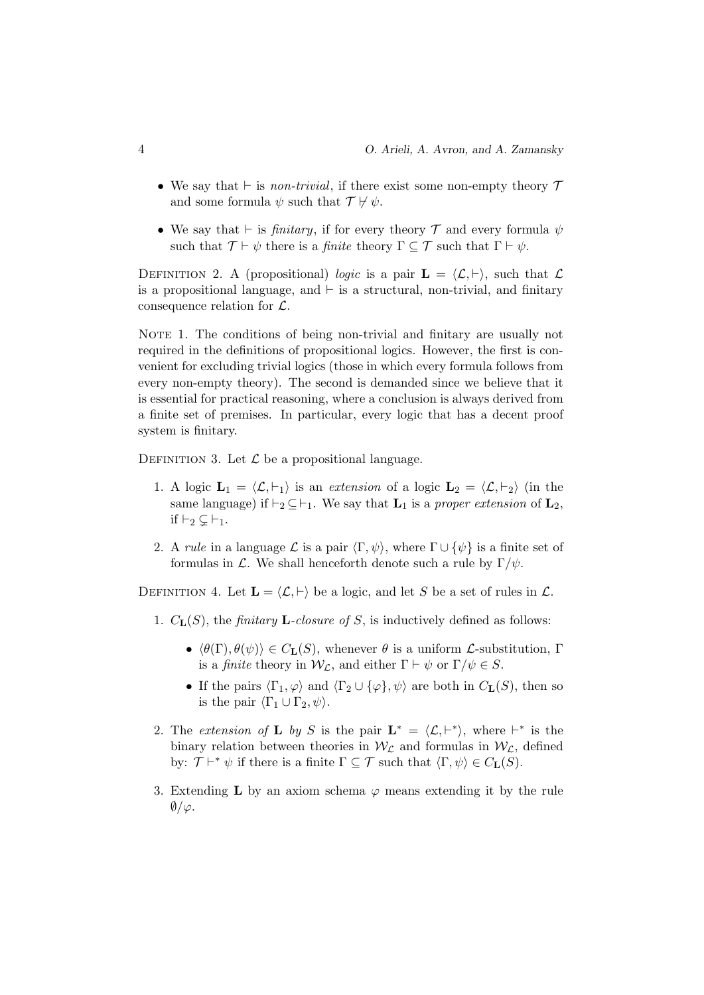- We say that  $\vdash$  is non-trivial, if there exist some non-empty theory  $\mathcal T$ and some formula  $\psi$  such that  $\mathcal{T} \not\vdash \psi$ .
- We say that  $\vdash$  is *finitary*, if for every theory  $\mathcal T$  and every formula  $\psi$ such that  $\mathcal{T} \vdash \psi$  there is a *finite* theory  $\Gamma \subseteq \mathcal{T}$  such that  $\Gamma \vdash \psi$ .

DEFINITION 2. A (propositional) logic is a pair  $\mathbf{L} = \langle \mathcal{L}, \vdash \rangle$ , such that  $\mathcal{L}$ is a propositional language, and  $\vdash$  is a structural, non-trivial, and finitary consequence relation for  $\mathcal{L}$ .

NOTE 1. The conditions of being non-trivial and finitary are usually not required in the definitions of propositional logics. However, the first is convenient for excluding trivial logics (those in which every formula follows from every non-empty theory). The second is demanded since we believe that it is essential for practical reasoning, where a conclusion is always derived from a finite set of premises. In particular, every logic that has a decent proof system is finitary.

DEFINITION 3. Let  $\mathcal L$  be a propositional language.

- 1. A logic  $\mathbf{L}_1 = \langle \mathcal{L}, \vdash_1 \rangle$  is an extension of a logic  $\mathbf{L}_2 = \langle \mathcal{L}, \vdash_2 \rangle$  (in the same language) if  $\vdash_2 \subseteq \vdash_1$ . We say that  $\mathbf{L}_1$  is a proper extension of  $\mathbf{L}_2$ , if  $\vdash_2 \subsetneq \vdash_1$ .
- 2. A rule in a language  $\mathcal L$  is a pair  $\langle \Gamma, \psi \rangle$ , where  $\Gamma \cup {\psi}$  is a finite set of formulas in L. We shall henceforth denote such a rule by  $\Gamma/\psi$ .

DEFINITION 4. Let  $\mathbf{L} = \langle \mathcal{L}, \vdash \rangle$  be a logic, and let S be a set of rules in  $\mathcal{L}$ .

- 1.  $C_{\mathbf{L}}(S)$ , the *finitary* **L**-closure of S, is inductively defined as follows:
	- $\langle \theta(\Gamma), \theta(\psi) \rangle \in C_{\mathbf{L}}(S)$ , whenever  $\theta$  is a uniform *L*-substitution, Γ is a *finite* theory in  $W_{\mathcal{L}}$ , and either  $\Gamma \vdash \psi$  or  $\Gamma/\psi \in S$ .
	- If the pairs  $\langle \Gamma_1, \varphi \rangle$  and  $\langle \Gamma_2 \cup {\varphi}, \psi \rangle$  are both in  $C_{\mathbf{L}}(S)$ , then so is the pair  $\langle \Gamma_1 \cup \Gamma_2, \psi \rangle$ .
- 2. The extension of **L** by S is the pair  $\mathbf{L}^* = \langle \mathcal{L}, \vdash^* \rangle$ , where  $\vdash^*$  is the binary relation between theories in  $W_{\mathcal{L}}$  and formulas in  $W_{\mathcal{L}}$ , defined by:  $\mathcal{T} \vdash^* \psi$  if there is a finite  $\Gamma \subseteq \mathcal{T}$  such that  $\langle \Gamma, \psi \rangle \in C_{\mathbf{L}}(S)$ .
- 3. Extending **L** by an axiom schema  $\varphi$  means extending it by the rule  $\emptyset/\varphi$ .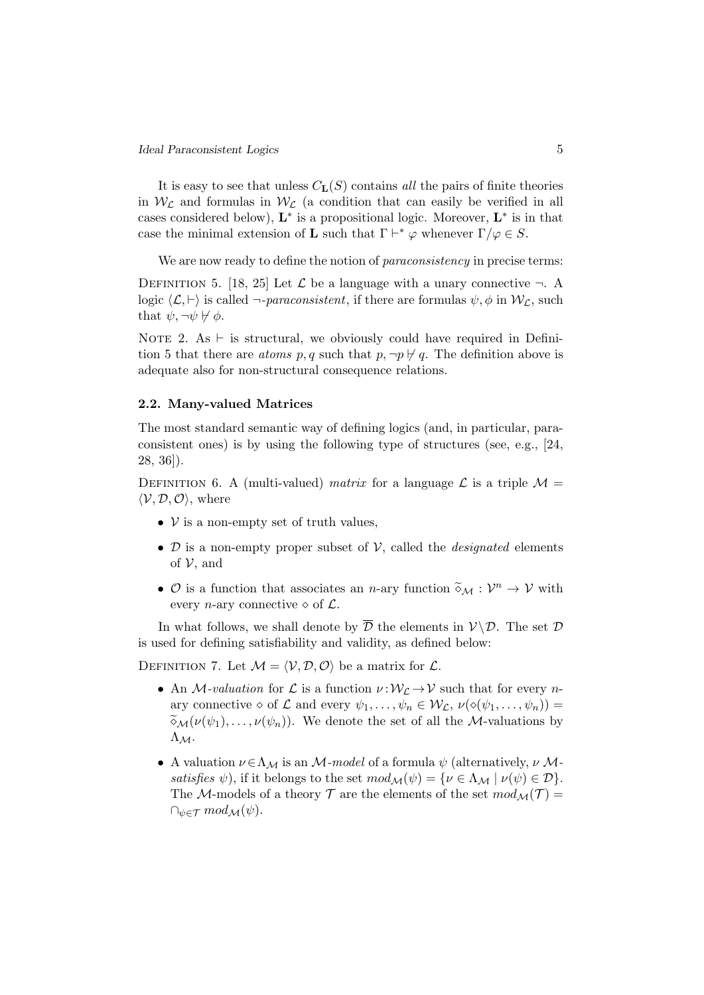It is easy to see that unless  $C_{\mathbf{L}}(S)$  contains all the pairs of finite theories in  $W_{\mathcal{L}}$  and formulas in  $W_{\mathcal{L}}$  (a condition that can easily be verified in all cases considered below),  $\mathbf{L}^*$  is a propositional logic. Moreover,  $\mathbf{L}^*$  is in that case the minimal extension of **L** such that  $\Gamma \vdash^* \varphi$  whenever  $\Gamma/\varphi \in S$ .

We are now ready to define the notion of *paraconsistency* in precise terms:

DEFINITION 5. [18, 25] Let  $\mathcal L$  be a language with a unary connective  $\neg$ . A logic  $\langle \mathcal{L}, \vdash \rangle$  is called  $\neg$ -paraconsistent, if there are formulas  $\psi, \phi$  in  $\mathcal{W}_\mathcal{L}$ , such that  $\psi, \neg \psi \not\vdash \phi$ .

NOTE 2. As  $\vdash$  is structural, we obviously could have required in Definition 5 that there are *atoms* p, q such that  $p, \neg p \nvdash q$ . The definition above is adequate also for non-structural consequence relations.

#### 2.2. Many-valued Matrices

The most standard semantic way of defining logics (and, in particular, paraconsistent ones) is by using the following type of structures (see, e.g., [24, 28, 36]).

DEFINITION 6. A (multi-valued) matrix for a language  $\mathcal L$  is a triple  $\mathcal M$  =  $\langle \mathcal{V}, \mathcal{D}, \mathcal{O} \rangle$ , where

- $\nu$  is a non-empty set of truth values,
- $\mathcal D$  is a non-empty proper subset of  $\mathcal V$ , called the *designated* elements of  $\nu$ , and
- $\mathcal{O}$  is a function that associates an *n*-ary function  $\tilde{\diamond}_{\mathcal{M}} : \mathcal{V}^n \to \mathcal{V}$  with even a set connective  $\hat{\diamond}$  of  $\mathcal{L}$ every *n*-ary connective  $\diamond$  of  $\mathcal{L}$ .

In what follows, we shall denote by  $\overline{\mathcal{D}}$  the elements in  $\mathcal{V}\backslash\mathcal{D}$ . The set  $\mathcal{D}$ is used for defining satisfiability and validity, as defined below:

DEFINITION 7. Let  $\mathcal{M} = \langle \mathcal{V}, \mathcal{D}, \mathcal{O} \rangle$  be a matrix for  $\mathcal{L}$ .

- An M-valuation for  $\mathcal L$  is a function  $\nu : \mathcal W_{\mathcal L} \to \mathcal V$  such that for every nary connective  $\diamond$  of  $\mathcal L$  and every  $\psi_1, \ldots, \psi_n \in \mathcal W_{\mathcal L}, \nu(\diamond(\psi_1, \ldots, \psi_n)) =$  $\widetilde{\phi}_{\mathcal{M}}(\nu(\psi_1), \ldots, \nu(\psi_n)).$  We denote the set of all the *M*-valuations by  $Λ$ <sub>M</sub>.
- A valuation  $\nu \in \Lambda_M$  is an M-model of a formula  $\psi$  (alternatively,  $\nu$  Msatisfies  $\psi$ ), if it belongs to the set  $mod_{\mathcal{M}}(\psi) = {\nu \in \Lambda_{\mathcal{M}} \mid \nu(\psi) \in \mathcal{D}}$ . The M-models of a theory  $\mathcal T$  are the elements of the set  $mod_{\mathcal M}(\mathcal T)$  =  $\cap_{\psi \in \mathcal{T}} mod_{\mathcal{M}}(\psi).$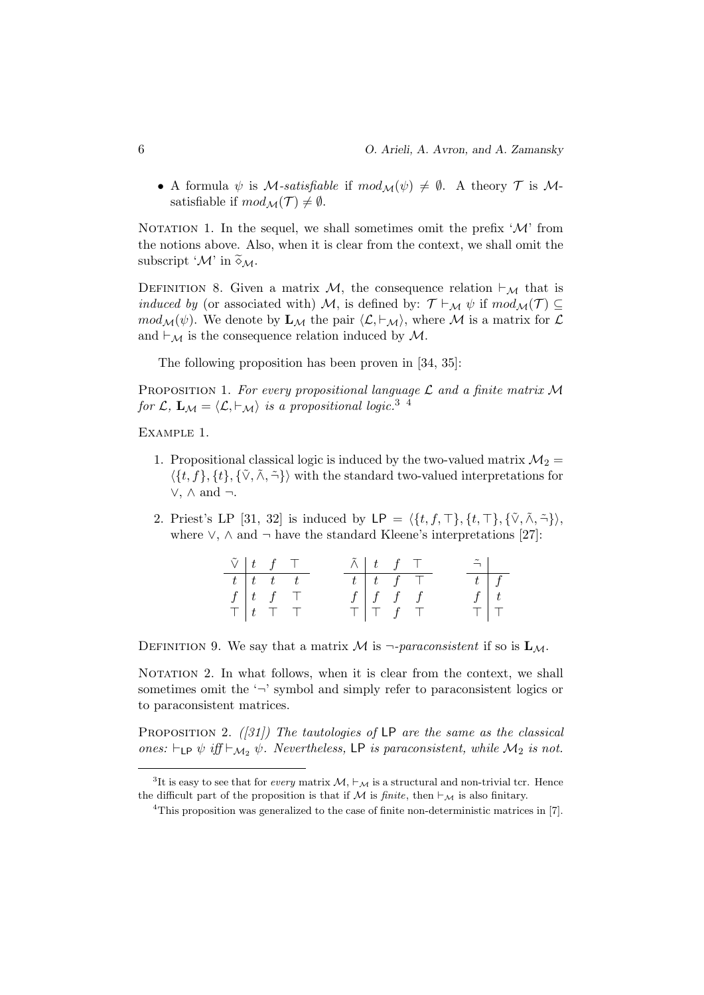• A formula  $\psi$  is *M*-satisfiable if  $mod_{\mathcal{M}}(\psi) \neq \emptyset$ . A theory  $\mathcal T$  is *M*satisfiable if  $mod_{\mathcal{M}}(\mathcal{T}) \neq \emptyset$ .

NOTATION 1. In the sequel, we shall sometimes omit the prefix  $\mathcal{M}'$  from the notions above. Also, when it is clear from the context, we shall omit the subscript ' $\mathcal{M}$ ' in  $\widetilde{\diamond}_{\mathcal{M}}$ .

DEFINITION 8. Given a matrix M, the consequence relation  $\vdash_{\mathcal{M}}$  that is *induced by* (or associated with) M, is defined by:  $\mathcal{T} \vdash_{\mathcal{M}} \psi$  if  $mod_{\mathcal{M}}(\mathcal{T}) \subseteq$  $mod_{\mathcal{M}}(\psi)$ . We denote by  $\mathbf{L}_{\mathcal{M}}$  the pair  $\langle \mathcal{L}, \vdash_{\mathcal{M}} \rangle$ , where M is a matrix for  $\mathcal{L}$ and  $\vdash_{\mathcal{M}}$  is the consequence relation induced by  $\mathcal{M}$ .

The following proposition has been proven in [34, 35]:

PROPOSITION 1. For every propositional language  $\mathcal L$  and a finite matrix  $\mathcal M$ for  $\mathcal{L}, \mathbf{L}_{\mathcal{M}} = \langle \mathcal{L}, \vdash_{\mathcal{M}} \rangle$  is a propositional logic.<sup>3</sup> <sup>4</sup>

Example 1.

- 1. Propositional classical logic is induced by the two-valued matrix  $\mathcal{M}_2$  =  $\langle \{t, f\}, \{t\}, \{\tilde{\vee}, \tilde{\wedge}, \tilde{\neg}\}\rangle$  with the standard two-valued interpretations for ∨, ∧ and ¬.
- 2. Priest's LP [31, 32] is induced by  $\mathsf{LP} = \langle \{t, f, \top\}, \{t, \top\}, \{\tilde{\vee}, \tilde{\wedge}, \tilde{\neg}\}\rangle,$ where  $\vee$ ,  $\wedge$  and  $\neg$  have the standard Kleene's interpretations [27]:

| $\tilde{\vee}$ $\begin{array}{cc} t & f \end{array}$ T |                                                |                                 | $\tilde{\wedge}$ $\begin{array}{c cc} t & f & \top \end{array}$ |                                                       |               | $\tilde{\neg}$ |  |
|--------------------------------------------------------|------------------------------------------------|---------------------------------|-----------------------------------------------------------------|-------------------------------------------------------|---------------|----------------|--|
|                                                        | $t \overline{t}$ $\overline{t}$ $\overline{t}$ |                                 |                                                                 | $t$ $t$ $f$ $\top$                                    |               | $t \mid f$     |  |
|                                                        |                                                | $\int f \mid t \quad f \quad T$ |                                                                 | $\begin{array}{c cc} f & f & f \\ \hline \end{array}$ |               |                |  |
|                                                        |                                                | $T$ $t$ $T$ $T$                 |                                                                 |                                                       | $T$   T $f$ T |                |  |

DEFINITION 9. We say that a matrix M is  $\neg$ -paraconsistent if so is  $\mathbf{L}_M$ .

NOTATION 2. In what follows, when it is clear from the context, we shall sometimes omit the  $\sim$ ' symbol and simply refer to paraconsistent logics or to paraconsistent matrices.

PROPOSITION 2. ([31]) The tautologies of  $LP$  are the same as the classical ones:  $\vdash_{\mathsf{LP}} \psi$  iff  $\vdash_{\mathcal{M}_2} \psi$ . Nevertheless, LP is paraconsistent, while  $\mathcal{M}_2$  is not.

<sup>&</sup>lt;sup>3</sup>It is easy to see that for *every* matrix  $\mathcal{M}, \vdash_{\mathcal{M}}$  is a structural and non-trivial tcr. Hence the difficult part of the proposition is that if  $M$  is *finite*, then  $\vdash_{\mathcal{M}}$  is also finitary.

<sup>&</sup>lt;sup>4</sup>This proposition was generalized to the case of finite non-deterministic matrices in [7].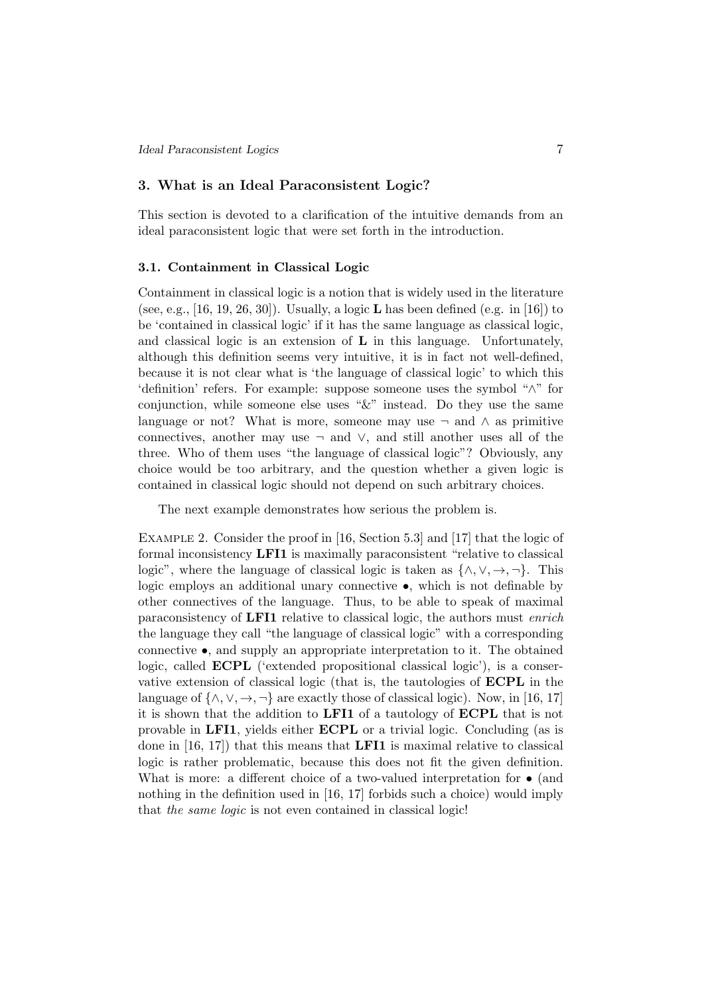#### 3. What is an Ideal Paraconsistent Logic?

This section is devoted to a clarification of the intuitive demands from an ideal paraconsistent logic that were set forth in the introduction.

#### 3.1. Containment in Classical Logic

Containment in classical logic is a notion that is widely used in the literature (see, e.g., [16, 19, 26, 30]). Usually, a logic **L** has been defined (e.g. in [16]) to be 'contained in classical logic' if it has the same language as classical logic, and classical logic is an extension of L in this language. Unfortunately, although this definition seems very intuitive, it is in fact not well-defined, because it is not clear what is 'the language of classical logic' to which this 'definition' refers. For example: suppose someone uses the symbol "∧" for conjunction, while someone else uses " $&$ " instead. Do they use the same language or not? What is more, someone may use  $\neg$  and  $\wedge$  as primitive connectives, another may use  $\neg$  and  $\vee$ , and still another uses all of the three. Who of them uses "the language of classical logic"? Obviously, any choice would be too arbitrary, and the question whether a given logic is contained in classical logic should not depend on such arbitrary choices.

The next example demonstrates how serious the problem is.

Example 2. Consider the proof in [16, Section 5.3] and [17] that the logic of formal inconsistency LFI1 is maximally paraconsistent "relative to classical logic", where the language of classical logic is taken as  $\{\wedge, \vee, \rightarrow, \neg\}$ . This logic employs an additional unary connective •, which is not definable by other connectives of the language. Thus, to be able to speak of maximal paraconsistency of LFI1 relative to classical logic, the authors must enrich the language they call "the language of classical logic" with a corresponding connective  $\bullet$ , and supply an appropriate interpretation to it. The obtained logic, called ECPL ('extended propositional classical logic'), is a conservative extension of classical logic (that is, the tautologies of ECPL in the language of  $\{\wedge, \vee, \rightarrow, \neg\}$  are exactly those of classical logic). Now, in [16, 17] it is shown that the addition to LFI1 of a tautology of ECPL that is not provable in LFI1, yields either ECPL or a trivial logic. Concluding (as is done in  $[16, 17]$  that this means that **LFI1** is maximal relative to classical logic is rather problematic, because this does not fit the given definition. What is more: a different choice of a two-valued interpretation for  $\bullet$  (and nothing in the definition used in [16, 17] forbids such a choice) would imply that the same logic is not even contained in classical logic!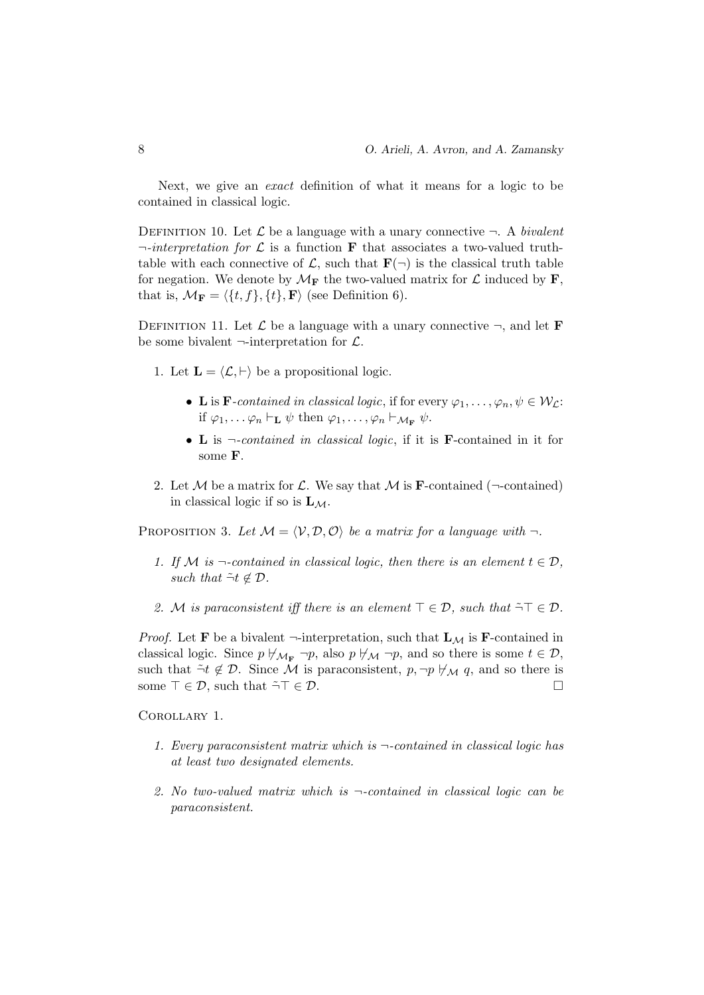Next, we give an exact definition of what it means for a logic to be contained in classical logic.

DEFINITION 10. Let  $\mathcal L$  be a language with a unary connective  $\neg$ . A bivalent  $\lnot$ -interpretation for  $\mathcal L$  is a function **F** that associates a two-valued truthtable with each connective of  $\mathcal{L}$ , such that  $\mathbf{F}(\neg)$  is the classical truth table for negation. We denote by  $\mathcal{M}_{\mathbf{F}}$  the two-valued matrix for  $\mathcal{L}$  induced by **F**, that is,  $\mathcal{M}_{\mathbf{F}} = \langle \{t, f\}, \{t\}, \mathbf{F} \rangle$  (see Definition 6).

DEFINITION 11. Let  $\mathcal L$  be a language with a unary connective  $\neg$ , and let **F** be some bivalent  $\neg$ -interpretation for  $\mathcal{L}$ .

- 1. Let  $\mathbf{L} = \langle \mathcal{L}, \vdash \rangle$  be a propositional logic.
	- L is F-contained in classical logic, if for every  $\varphi_1, \ldots, \varphi_n, \psi \in \mathcal{W}_\mathcal{L}$ : if  $\varphi_1, \ldots \varphi_n \vdash_{\mathbf{L}} \psi$  then  $\varphi_1, \ldots, \varphi_n \vdash_{\mathcal{M}_{\mathbf{F}}} \psi$ .
	- L is ¬-contained in classical logic, if it is F-contained in it for some F.
- 2. Let M be a matrix for L. We say that M is **F**-contained ( $\neg$ -contained) in classical logic if so is  $L_M$ .

PROPOSITION 3. Let  $M = \langle V, D, O \rangle$  be a matrix for a language with  $\neg$ .

- 1. If M is  $\neg$ -contained in classical logic, then there is an element  $t \in \mathcal{D}$ , such that  $\tilde{\neg} t \notin \mathcal{D}$ .
- 2. M is paraconsistent iff there is an element  $\top \in \mathcal{D}$ , such that  $\tilde{\neg} \top \in \mathcal{D}$ .

*Proof.* Let **F** be a bivalent  $\neg$ -interpretation, such that  $L_M$  is **F**-contained in classical logic. Since  $p \nvDash_{\mathcal{M}_{\mathbf{F}}} \neg p$ , also  $p \nvDash_{\mathcal{M}} \neg p$ , and so there is some  $t \in \mathcal{D}$ , such that  $\tilde{\neg} t \notin \mathcal{D}$ . Since M is paraconsistent,  $p, \neg p \not\vdash_{\mathcal{M}} q$ , and so there is some  $\top \in \mathcal{D}$ , such that  $\tilde{\neg} \top \in \mathcal{D}$ .

Corollary 1.

- 1. Every paraconsistent matrix which is  $\neg$ -contained in classical logic has at least two designated elements.
- 2. No two-valued matrix which is  $\neg$ -contained in classical logic can be paraconsistent.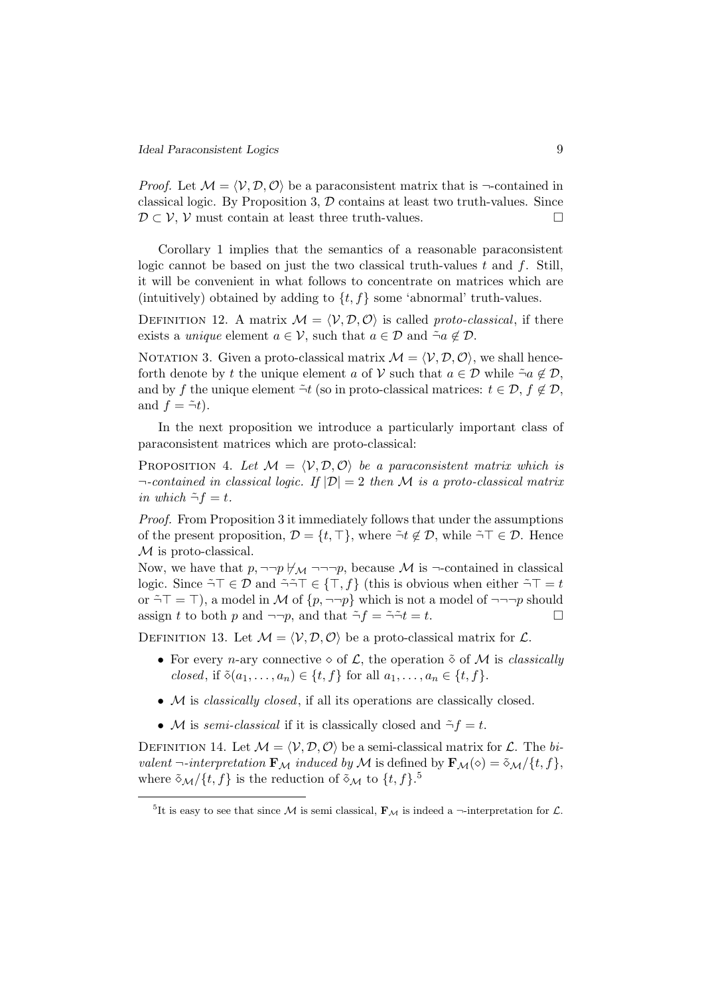*Proof.* Let  $\mathcal{M} = \langle \mathcal{V}, \mathcal{D}, \mathcal{O} \rangle$  be a paraconsistent matrix that is  $\neg$ -contained in classical logic. By Proposition 3,  $\mathcal D$  contains at least two truth-values. Since  $\mathcal{D} \subset \mathcal{V}, \mathcal{V}$  must contain at least three truth-values.

Corollary 1 implies that the semantics of a reasonable paraconsistent logic cannot be based on just the two classical truth-values  $t$  and  $f$ . Still, it will be convenient in what follows to concentrate on matrices which are (intuitively) obtained by adding to  $\{t, f\}$  some 'abnormal' truth-values.

DEFINITION 12. A matrix  $\mathcal{M} = \langle \mathcal{V}, \mathcal{D}, \mathcal{O} \rangle$  is called proto-classical, if there exists a *unique* element  $a \in \mathcal{V}$ , such that  $a \in \mathcal{D}$  and  $\tilde{\neg}a \notin \mathcal{D}$ .

NOTATION 3. Given a proto-classical matrix  $\mathcal{M} = \langle \mathcal{V}, \mathcal{D}, \mathcal{O} \rangle$ , we shall henceforth denote by t the unique element a of V such that  $a \in \mathcal{D}$  while  $\tilde{\neg}a \notin \mathcal{D}$ , and by f the unique element  $\tilde{\neg} t$  (so in proto-classical matrices:  $t \in \mathcal{D}$ ,  $f \notin \mathcal{D}$ , and  $f = -\tilde{\tau}t$ .

In the next proposition we introduce a particularly important class of paraconsistent matrices which are proto-classical:

PROPOSITION 4. Let  $M = \langle V, D, O \rangle$  be a paraconsistent matrix which is  $\neg$ -contained in classical logic. If  $|\mathcal{D}| = 2$  then M is a proto-classical matrix in which  $\tilde{\neg} f = t$ .

Proof. From Proposition 3 it immediately follows that under the assumptions of the present proposition,  $\mathcal{D} = \{t, \top\}$ , where  $\tilde{\neg} t \notin \mathcal{D}$ , while  $\tilde{\neg} \top \in \mathcal{D}$ . Hence  $M$  is proto-classical.

Now, we have that  $p, \neg\neg p \nleftrightarrow_{\mathcal{M}} \neg\neg\neg p$ , because M is  $\neg$ -contained in classical logic. Since  $\tilde{\neg} \top \in \mathcal{D}$  and  $\tilde{\neg} \tilde{\neg} \top \in \{\top, f\}$  (this is obvious when either  $\tilde{\neg} \top = t$ or  $\tilde{\neg} \top = \top$ , a model in M of  $\{p, \neg \neg p\}$  which is not a model of  $\neg \neg \neg p$  should assign t to both p and  $\neg\neg p$ , and that  $\tilde{\neg} f = \tilde{\neg} \tilde{\neg} t = t$ .

DEFINITION 13. Let  $M = \langle V, \mathcal{D}, \mathcal{O} \rangle$  be a proto-classical matrix for  $\mathcal{L}$ .

- For every *n*-ary connective  $\diamond$  of  $\mathcal{L}$ , the operation  $\check{\diamond}$  of  $\mathcal{M}$  is *classically* closed, if  $\tilde{\diamond}(a_1,\ldots,a_n) \in \{t, f\}$  for all  $a_1,\ldots,a_n \in \{t, f\}$ .
- M is classically closed, if all its operations are classically closed.
- M is semi-classical if it is classically closed and  $\tilde{\neg} f = t$ .

DEFINITION 14. Let  $\mathcal{M} = \langle \mathcal{V}, \mathcal{D}, \mathcal{O} \rangle$  be a semi-classical matrix for  $\mathcal{L}$ . The bivalent  $\neg$ -interpretation  $\mathbf{F}_M$  induced by  $\mathbf{M}$  is defined by  $\mathbf{F}_M(\diamond) = \tilde{\diamond}_M / \{t, f\}$ , where  $\tilde{\diamond}_{\mathcal{M}}/\{t,f\}$  is the reduction of  $\tilde{\diamond}_{\mathcal{M}}$  to  $\{t,f\}$ .<sup>5</sup>

<sup>&</sup>lt;sup>5</sup>It is easy to see that since M is semi classical,  $\mathbf{F}_{\mathcal{M}}$  is indeed a  $\neg$ -interpretation for  $\mathcal{L}$ .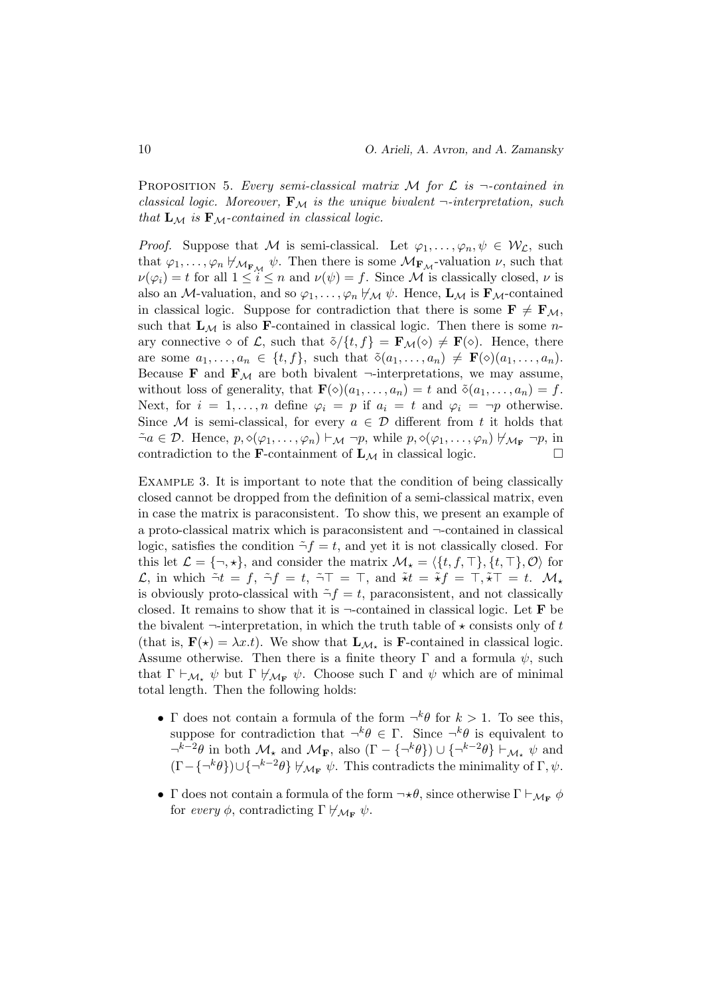PROPOSITION 5. Every semi-classical matrix  $M$  for  $\mathcal L$  is  $\neg$ -contained in classical logic. Moreover,  $\mathbf{F}_M$  is the unique bivalent  $\neg$ -interpretation, such that  $\mathbf{L}_{\mathcal{M}}$  is  $\mathbf{F}_{\mathcal{M}}$ -contained in classical logic.

*Proof.* Suppose that M is semi-classical. Let  $\varphi_1, \ldots, \varphi_n, \psi \in \mathcal{W}_{\mathcal{L}}$ , such that  $\varphi_1, \ldots, \varphi_n \not\vdash_{\mathcal{M}_{\mathbf{F}_\mathcal{M}}} \psi$ . Then there is some  $\mathcal{M}_{\mathbf{F}_\mathcal{M}}$ -valuation  $\nu$ , such that  $\nu(\varphi_i) = t$  for all  $1 \leq i \leq n$  and  $\nu(\psi) = f$ . Since M is classically closed,  $\nu$  is also an M-valuation, and so  $\varphi_1, \ldots, \varphi_n \not\vdash_M \psi$ . Hence,  $\mathbf{L}_M$  is  $\mathbf{F}_M$ -contained in classical logic. Suppose for contradiction that there is some  $\mathbf{F} \neq \mathbf{F}_{\mathcal{M}}$ , such that  $\mathbf{L}_{\mathcal{M}}$  is also **F**-contained in classical logic. Then there is some *n*ary connective  $\diamond$  of  $\mathcal{L}$ , such that  $\tilde{\diamond}/\{t, f\} = \mathbf{F}_{\mathcal{M}}(\diamond) \neq \mathbf{F}(\diamond)$ . Hence, there are some  $a_1, \ldots, a_n \in \{t, f\}$ , such that  $\tilde{\diamond}(a_1, \ldots, a_n) \neq \mathbf{F}(\diamond)(a_1, \ldots, a_n)$ . Because **F** and  $\mathbf{F}_{\mathcal{M}}$  are both bivalent  $\neg$ -interpretations, we may assume, without loss of generality, that  $\mathbf{F}(\diamond)(a_1, \ldots, a_n) = t$  and  $\delta(a_1, \ldots, a_n) = f$ . Next, for  $i = 1, ..., n$  define  $\varphi_i = p$  if  $a_i = t$  and  $\varphi_i = \neg p$  otherwise. Since M is semi-classical, for every  $a \in \mathcal{D}$  different from t it holds that  $\tilde{\neg}a \in \mathcal{D}$ . Hence,  $p, \diamond(\varphi_1, \ldots, \varphi_n) \vdash_{\mathcal{M}} \neg p$ , while  $p, \diamond(\varphi_1, \ldots, \varphi_n) \not\vdash_{\mathcal{M}_{\mathbf{F}}} \neg p$ , in contradiction to the **F**-containment of  $\mathbf{L}_{\mathcal{M}}$  in classical logic.

EXAMPLE 3. It is important to note that the condition of being classically closed cannot be dropped from the definition of a semi-classical matrix, even in case the matrix is paraconsistent. To show this, we present an example of a proto-classical matrix which is paraconsistent and ¬-contained in classical logic, satisfies the condition  $\tilde{\neg} f = t$ , and yet it is not classically closed. For this let  $\mathcal{L} = \{\neg, \star\}$ , and consider the matrix  $\mathcal{M}_{\star} = \{\{t, f, \top\}, \{t, \top\}, \mathcal{O}\}\$  for L, in which  $\tilde{\neg}t = f$ ,  $\tilde{\neg}f = t$ ,  $\tilde{\neg}T = \top$ , and  $\tilde{\star}t = \tilde{\star}f = \top, \tilde{\star}\top = t$ .  $\mathcal{M}_{\star}$ is obviously proto-classical with  $\tilde{\neg} f = t$ , paraconsistent, and not classically closed. It remains to show that it is  $\neg$ -contained in classical logic. Let **F** be the bivalent  $\neg$ -interpretation, in which the truth table of  $\star$  consists only of t (that is,  $\mathbf{F}(\star) = \lambda x.t$ ). We show that  $\mathbf{L}_{\mathcal{M}_{\star}}$  is **F**-contained in classical logic. Assume otherwise. Then there is a finite theory  $\Gamma$  and a formula  $\psi$ , such that  $\Gamma \vdash_{\mathcal{M}_\star} \psi$  but  $\Gamma \not\models_{\mathcal{M}_\mathbf{F}} \psi$ . Choose such  $\Gamma$  and  $\psi$  which are of minimal total length. Then the following holds:

- $\Gamma$  does not contain a formula of the form  $\neg^k \theta$  for  $k > 1$ . To see this, suppose for contradiction that  $\neg^k \theta \in \Gamma$ . Since  $\neg^k \theta$  is equivalent to  $\neg^{k-2}\theta$  in both  $\mathcal{M}_{\star}$  and  $\mathcal{M}_{\mathbf{F}}$ , also  $(\Gamma - \{\neg^k\theta\}) \cup \{\neg^{k-2}\theta\} \vdash_{\mathcal{M}_{\star}} \psi$  and  $(\Gamma - {\{\neg^k\theta\}}) \cup {\{\neg^{k-2}\theta\}} \nvDash_{\mathcal{M}_{\mathbf{F}}} \psi$ . This contradicts the minimality of  $\Gamma, \psi$ .
- Γ does not contain a formula of the form  $\neg \star \theta$ , since otherwise  $\Gamma \vdash_{\mathcal{M}_{\mathbf{F}}} \phi$ for every  $\phi$ , contradicting  $\Gamma \not\vdash_{\mathcal{M}_{\mathbf{F}}} \psi$ .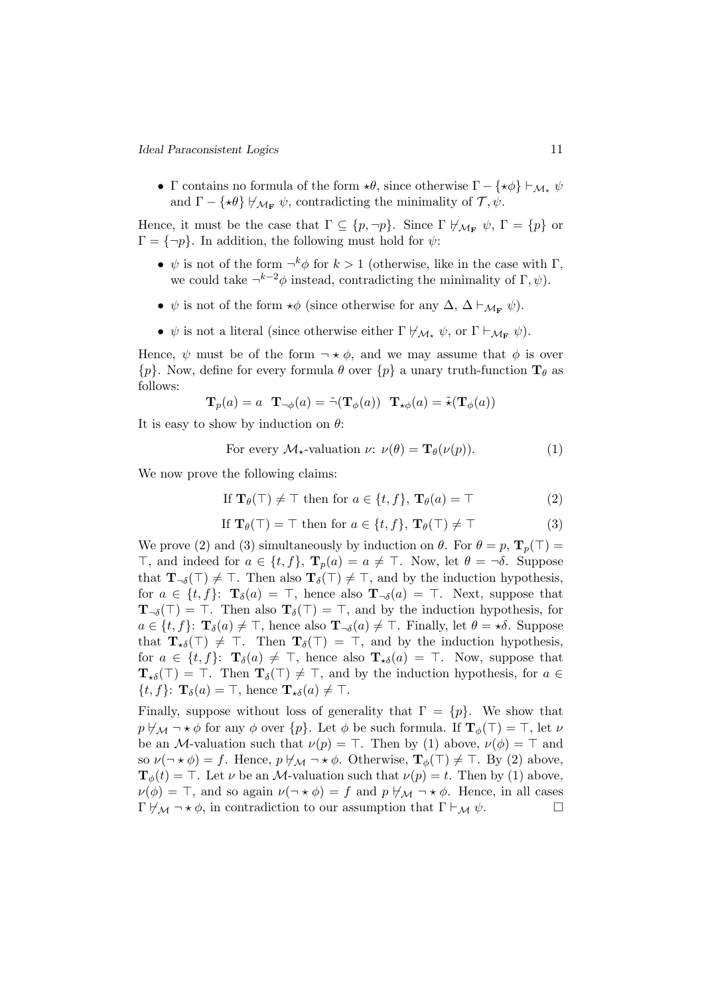• Γ contains no formula of the form  $\star \theta$ , since otherwise  $\Gamma - {\star \phi} \vdash_{\mathcal{M}_{\star}} \psi$ and  $\Gamma - \{\star \theta\} \not\vdash_{\mathcal{M}_{\mathbf{F}}} \psi$ , contradicting the minimality of  $\mathcal{T}, \psi$ .

Hence, it must be the case that  $\Gamma \subseteq \{p, \neg p\}$ . Since  $\Gamma \not\vdash_{\mathcal{M}_{\mathbf{F}}} \psi$ ,  $\Gamma = \{p\}$  or  $\Gamma = \{\neg p\}.$  In addition, the following must hold for  $\psi$ :

- $\psi$  is not of the form  $\neg^k \phi$  for  $k > 1$  (otherwise, like in the case with  $\Gamma$ , we could take  $\neg^{k-2}\phi$  instead, contradicting the minimality of  $\Gamma, \psi$ ).
- $\psi$  is not of the form  $\star \phi$  (since otherwise for any  $\Delta$ ,  $\Delta \vdash_{\mathcal{M}_{\mathbf{F}}} \psi$ ).
- $\psi$  is not a literal (since otherwise either  $\Gamma \not\vdash_{\mathcal{M}_{\bullet}} \psi$ , or  $\Gamma \vdash_{\mathcal{M}_{\mathbf{F}}} \psi$ ).

Hence,  $\psi$  must be of the form  $\neg \star \phi$ , and we may assume that  $\phi$  is over  $\{p\}$ . Now, define for every formula  $\theta$  over  $\{p\}$  a unary truth-function  $\mathbf{T}_{\theta}$  as follows:

$$
\mathbf{T}_p(a) = a \mathbf{T}_{\neg \phi}(a) = \tilde{\neg}(\mathbf{T}_{\phi}(a)) \mathbf{T}_{\star \phi}(a) = \tilde{\star}(\mathbf{T}_{\phi}(a))
$$

It is easy to show by induction on  $\theta$ :

For every 
$$
\mathcal{M}_{\star}
$$
-valuation  $\nu$ :  $\nu(\theta) = \mathbf{T}_{\theta}(\nu(p))$ . (1)

We now prove the following claims:

If 
$$
\mathbf{T}_{\theta}(\top) \neq \top
$$
 then for  $a \in \{t, f\}$ ,  $\mathbf{T}_{\theta}(a) = \top$  (2)

If 
$$
\mathbf{T}_{\theta}(\top) = \top
$$
 then for  $a \in \{t, f\}$ ,  $\mathbf{T}_{\theta}(\top) \neq \top$  (3)

We prove (2) and (3) simultaneously by induction on  $\theta$ . For  $\theta = p$ ,  $\mathbf{T}_p(\top) =$  $\top$ , and indeed for  $a \in \{t, f\}$ ,  $\mathbf{T}_n(a) = a \neq \top$ . Now, let  $\theta = \neg \delta$ . Suppose that  $\mathbf{T}_{\neg \delta}(\top) \neq \top$ . Then also  $\mathbf{T}_{\delta}(\top) \neq \top$ , and by the induction hypothesis, for  $a \in \{t, f\}$ :  $\mathbf{T}_{\delta}(a) = \top$ , hence also  $\mathbf{T}_{\neg \delta}(a) = \top$ . Next, suppose that  $\mathbf{T}_{\neg \delta}(\top) = \top$ . Then also  $\mathbf{T}_{\delta}(\top) = \top$ , and by the induction hypothesis, for  $a \in \{t, f\}$ :  $\mathbf{T}_{\delta}(a) \neq \top$ , hence also  $\mathbf{T}_{\neg \delta}(a) \neq \top$ . Finally, let  $\theta = \star \delta$ . Suppose that  $\mathbf{T}_{\star\delta}(\top) \neq \top$ . Then  $\mathbf{T}_{\delta}(\top) = \top$ , and by the induction hypothesis, for  $a \in \{t, f\}$ :  $\mathbf{T}_{\delta}(a) \neq \top$ , hence also  $\mathbf{T}_{\star\delta}(a) = \top$ . Now, suppose that  $\mathbf{T}_{\star\delta}(\top) = \top$ . Then  $\mathbf{T}_{\delta}(\top) \neq \top$ , and by the induction hypothesis, for  $a \in$  $\{t, f\}$ :  $\mathbf{T}_{\delta}(a) = \top$ , hence  $\mathbf{T}_{\star\delta}(a) \neq \top$ .

Finally, suppose without loss of generality that  $\Gamma = \{p\}$ . We show that  $p \nvdash_{\mathcal{M}} \neg \star \phi$  for any  $\phi$  over  $\{p\}$ . Let  $\phi$  be such formula. If  $\mathbf{T}_{\phi}(\top) = \top$ , let  $\nu$ be an M-valuation such that  $\nu(p) = \top$ . Then by (1) above,  $\nu(\phi) = \top$  and so  $\nu(\neg \star \phi) = f$ . Hence,  $p \not\vdash_{\mathcal{M}} \neg \star \phi$ . Otherwise,  $\mathbf{T}_{\phi}(\top) \neq \top$ . By (2) above,  $\mathbf{T}_{\phi}(t) = \top$ . Let  $\nu$  be an *M*-valuation such that  $\nu(p) = t$ . Then by (1) above,  $\nu(\phi) = \top$ , and so again  $\nu(\neg \star \phi) = f$  and  $p \not\vdash_{\mathcal{M}} \neg \star \phi$ . Hence, in all cases  $\Gamma \not \vdash_{\mathcal{M}} \neg \star \phi$ , in contradiction to our assumption that  $\Gamma \vdash_{\mathcal{M}} \psi$ .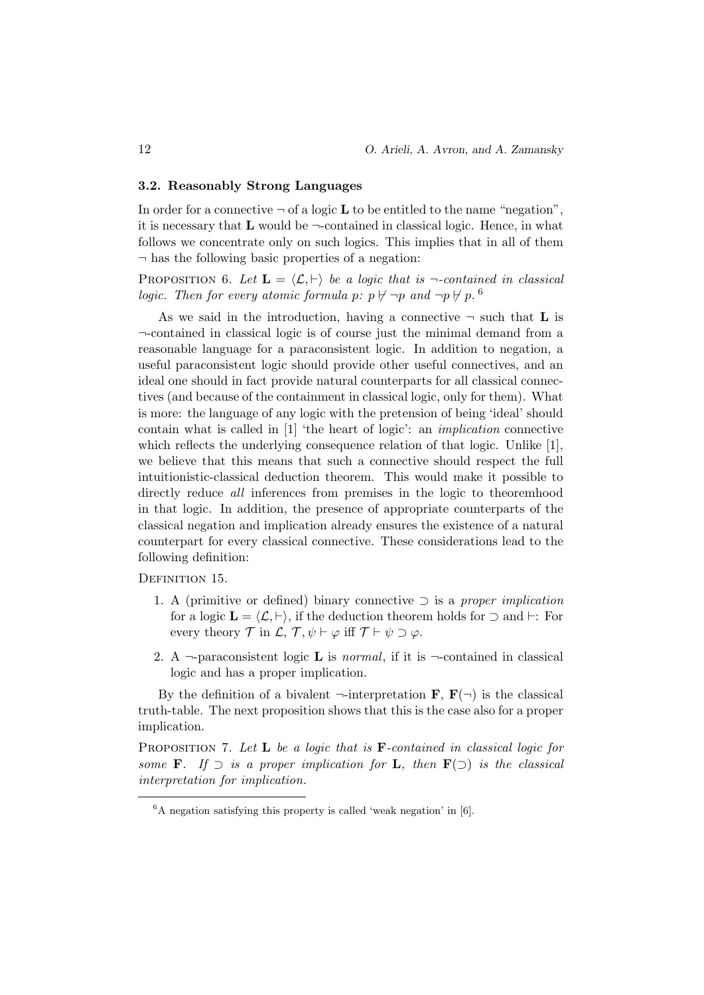#### 3.2. Reasonably Strong Languages

In order for a connective  $\neg$  of a logic **L** to be entitled to the name "negation", it is necessary that  $L$  would be  $\neg$ -contained in classical logic. Hence, in what follows we concentrate only on such logics. This implies that in all of them  $\neg$  has the following basic properties of a negation:

PROPOSITION 6. Let  $\mathbf{L} = \langle \mathcal{L}, \vdash \rangle$  be a logic that is  $\neg$ -contained in classical logic. Then for every atomic formula p:  $p \nvdash \neg p$  and  $\neg p \nvdash p$ .

As we said in the introduction, having a connective  $\neg$  such that **L** is ¬-contained in classical logic is of course just the minimal demand from a reasonable language for a paraconsistent logic. In addition to negation, a useful paraconsistent logic should provide other useful connectives, and an ideal one should in fact provide natural counterparts for all classical connectives (and because of the containment in classical logic, only for them). What is more: the language of any logic with the pretension of being 'ideal' should contain what is called in [1] 'the heart of logic': an implication connective which reflects the underlying consequence relation of that logic. Unlike [1], we believe that this means that such a connective should respect the full intuitionistic-classical deduction theorem. This would make it possible to directly reduce *all* inferences from premises in the logic to theoremhood in that logic. In addition, the presence of appropriate counterparts of the classical negation and implication already ensures the existence of a natural counterpart for every classical connective. These considerations lead to the following definition:

DEFINITION 15.

- 1. A (primitive or defined) binary connective  $\supset$  is a proper implication for a logic  $\mathbf{L} = \langle \mathcal{L}, \vdash \rangle$ , if the deduction theorem holds for  $\supset$  and  $\vdash$ : For every theory  $\mathcal T$  in  $\mathcal L$ ,  $\mathcal T$ ,  $\psi \vdash \varphi$  iff  $\mathcal T \vdash \psi \supset \varphi$ .
- 2. A  $\neg$ -paraconsistent logic **L** is *normal*, if it is  $\neg$ -contained in classical logic and has a proper implication.

By the definition of a bivalent  $\neg$ -interpretation **F**, **F**( $\neg$ ) is the classical truth-table. The next proposition shows that this is the case also for a proper implication.

PROPOSITION 7. Let **L** be a logic that is  $\mathbf{F}$ -contained in classical logic for some **F**. If  $\supset$  is a proper implication for **L**, then **F**( $\supset$ ) is the classical interpretation for implication.

 ${}^{6}$ A negation satisfying this property is called 'weak negation' in [6].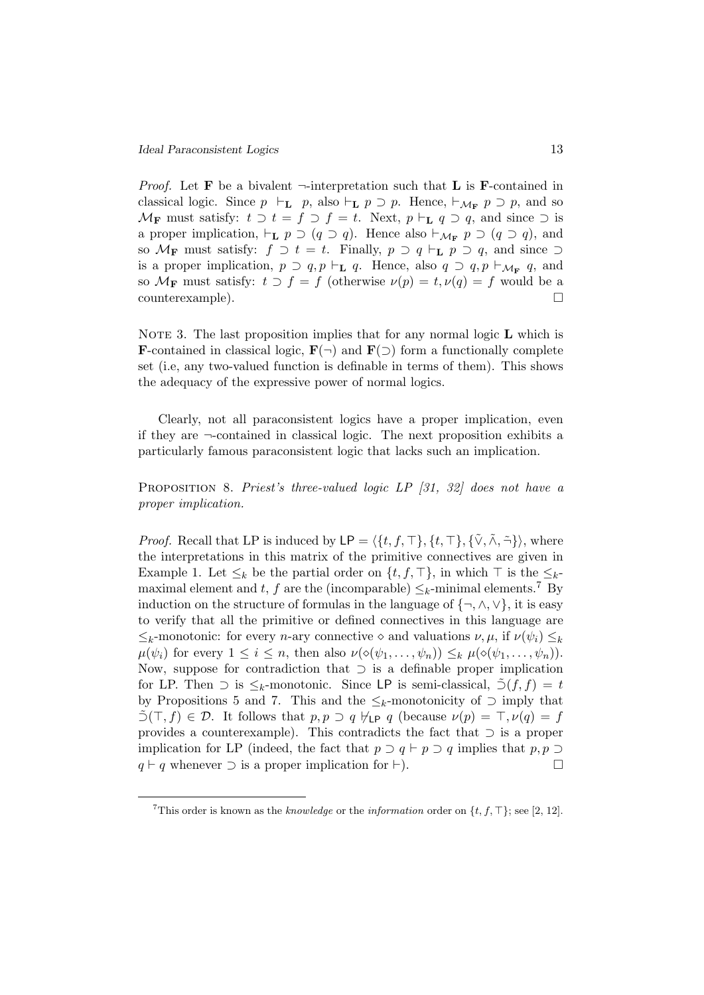*Proof.* Let **F** be a bivalent  $\neg$ -interpretation such that **L** is **F**-contained in classical logic. Since  $p \vdash_L p$ , also  $\vdash_L p \supset p$ . Hence,  $\vdash_{\mathcal{M}_F} p \supset p$ , and so  $\mathcal{M}_{\mathbf{F}}$  must satisfy:  $t \supset t = f \supset f = t$ . Next,  $p \vdash_{\mathbf{L}} q \supset q$ , and since  $\supset$  is a proper implication,  $\vdash_{\mathbf{L}} p \supset (q \supset q)$ . Hence also  $\vdash_{\mathcal{M}_{\mathbf{F}}} p \supset (q \supset q)$ , and so  $\mathcal{M}_F$  must satisfy:  $f \supset t = t$ . Finally,  $p \supset q \vdash_L p \supset q$ , and since  $\supset$ is a proper implication,  $p \supset q, p \vdash_L q$ . Hence, also  $q \supset q, p \vdash_{\mathcal{M}_{\mathbf{F}}} q$ , and so  $\mathcal{M}_{\mathbf{F}}$  must satisfy:  $t \supset f = f$  (otherwise  $\nu(p) = t, \nu(q) = f$  would be a counterexample).

NOTE 3. The last proposition implies that for any normal logic  $\bf{L}$  which is **F**-contained in classical logic,  $\mathbf{F}(\neg)$  and  $\mathbf{F}(\neg)$  form a functionally complete set (i.e, any two-valued function is definable in terms of them). This shows the adequacy of the expressive power of normal logics.

Clearly, not all paraconsistent logics have a proper implication, even if they are  $\neg$ -contained in classical logic. The next proposition exhibits a particularly famous paraconsistent logic that lacks such an implication.

Proposition 8. Priest's three-valued logic LP [31, 32] does not have a proper implication.

*Proof.* Recall that LP is induced by  $\mathsf{LP} = \langle \{t, f, \top \}, \{t, \top \}, \{\tilde{\vee}, \tilde{\wedge}, \tilde{\neg} \} \rangle$ , where the interpretations in this matrix of the primitive connectives are given in Example 1. Let  $\leq_k$  be the partial order on  $\{t, f, \top\}$ , in which  $\top$  is the  $\leq_k$ maximal element and t, f are the (incomparable)  $\leq_k$ -minimal elements.<sup>7</sup> By induction on the structure of formulas in the language of  $\{\neg, \wedge, \vee\}$ , it is easy to verify that all the primitive or defined connectives in this language are  $\leq_k$ -monotonic: for every *n*-ary connective  $\diamond$  and valuations  $\nu, \mu$ , if  $\nu(\psi_i) \leq_k$  $\mu(\psi_i)$  for every  $1 \leq i \leq n$ , then also  $\nu(\diamond(\psi_1,\ldots,\psi_n)) \leq_k \mu(\diamond(\psi_1,\ldots,\psi_n)).$ Now, suppose for contradiction that ⊃ is a definable proper implication for LP. Then  $\supset$  is  $\leq_k$ -monotonic. Since LP is semi-classical,  $\tilde{\supset}$  (f, f) = t by Propositions 5 and 7. This and the  $\leq_k$ -monotonicity of  $\supset$  imply that  $\tilde{\supset}(\top, f) \in \mathcal{D}$ . It follows that  $p, p \supset q \nmid_{\text{LP}} q$  (because  $\nu(p) = \top, \nu(q) = f$ provides a counterexample). This contradicts the fact that ⊃ is a proper implication for LP (indeed, the fact that  $p \supset q \vdash p \supset q$  implies that  $p, p \supset q$  $q \vdash q$  whenever  $\supset$  is a proper implication for  $\vdash$ ).

<sup>&</sup>lt;sup>7</sup>This order is known as the *knowledge* or the *information* order on  $\{t, f, \top\}$ ; see [2, 12].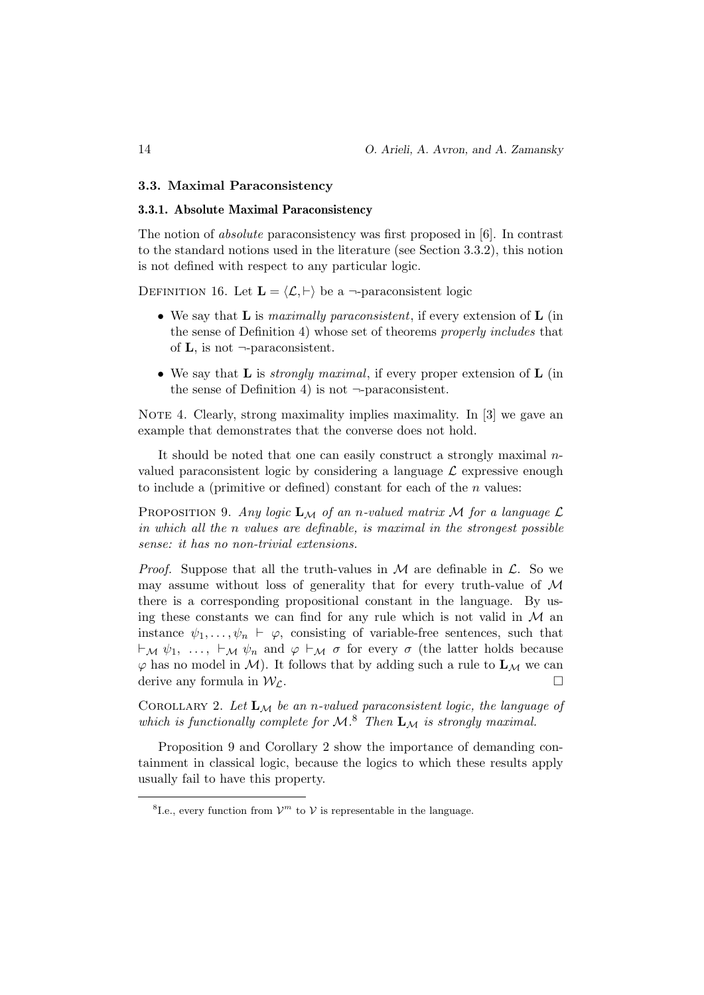#### 3.3. Maximal Paraconsistency

#### 3.3.1. Absolute Maximal Paraconsistency

The notion of absolute paraconsistency was first proposed in [6]. In contrast to the standard notions used in the literature (see Section 3.3.2), this notion is not defined with respect to any particular logic.

DEFINITION 16. Let  $\mathbf{L} = \langle \mathcal{L}, \vdash \rangle$  be a  $\neg$ -paraconsistent logic

- We say that **L** is *maximally paraconsistent*, if every extension of **L** (in the sense of Definition 4) whose set of theorems properly includes that of  $\bf{L}$ , is not  $\neg$ -paraconsistent.
- We say that **L** is *strongly maximal*, if every proper extension of **L** (in the sense of Definition 4) is not  $\neg$ -paraconsistent.

NOTE 4. Clearly, strong maximality implies maximality. In  $[3]$  we gave an example that demonstrates that the converse does not hold.

It should be noted that one can easily construct a strongly maximal  $n$ valued paraconsistent logic by considering a language  $\mathcal L$  expressive enough to include a (primitive or defined) constant for each of the  $n$  values:

PROPOSITION 9. Any logic  $\mathbf{L}_M$  of an n-valued matrix M for a language  $\mathcal{L}$ in which all the n values are definable, is maximal in the strongest possible sense: it has no non-trivial extensions.

*Proof.* Suppose that all the truth-values in  $M$  are definable in  $\mathcal{L}$ . So we may assume without loss of generality that for every truth-value of  $\mathcal M$ there is a corresponding propositional constant in the language. By using these constants we can find for any rule which is not valid in  $M$  and instance  $\psi_1, \ldots, \psi_n \vdash \varphi$ , consisting of variable-free sentences, such that  $\vdash_{\mathcal{M}} \psi_1, \ldots, \vdash_{\mathcal{M}} \psi_n$  and  $\varphi \vdash_{\mathcal{M}} \sigma$  for every  $\sigma$  (the latter holds because  $\varphi$  has no model in M). It follows that by adding such a rule to  $\mathbf{L}_{\mathcal{M}}$  we can derive any formula in  $W_c$ .

COROLLARY 2. Let  $\mathbf{L}_M$  be an n-valued paraconsistent logic, the language of which is functionally complete for  $\mathcal{M}.^8$  Then  $\mathbf{L}_{\mathcal{M}}$  is strongly maximal.

Proposition 9 and Corollary 2 show the importance of demanding containment in classical logic, because the logics to which these results apply usually fail to have this property.

<sup>&</sup>lt;sup>8</sup>I.e., every function from  $\mathcal{V}^m$  to  $\mathcal{V}$  is representable in the language.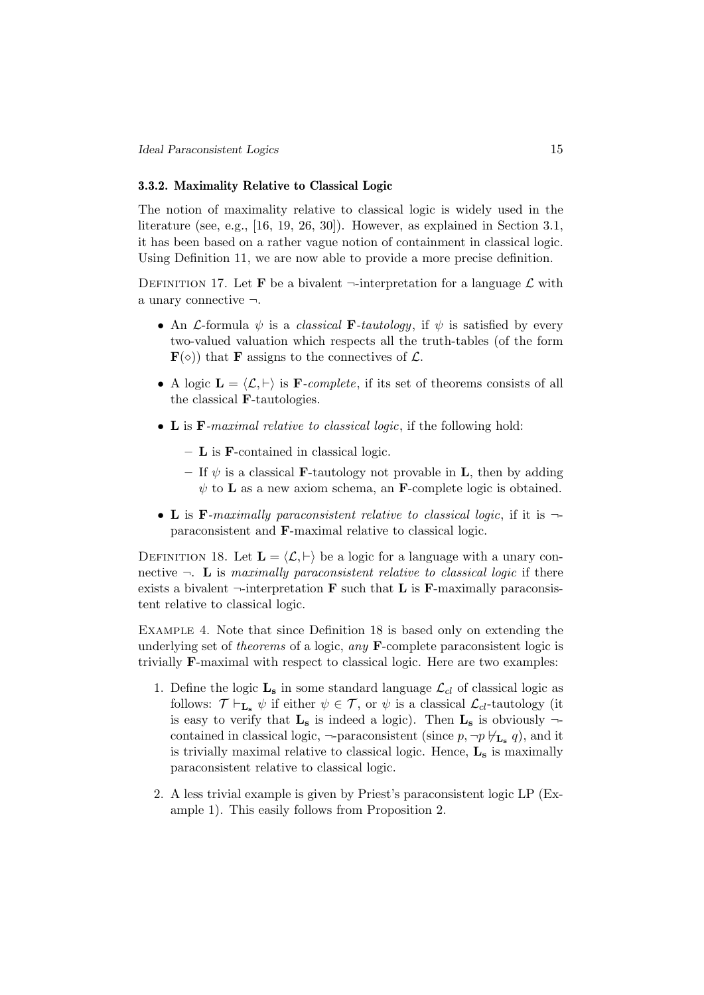#### 3.3.2. Maximality Relative to Classical Logic

The notion of maximality relative to classical logic is widely used in the literature (see, e.g., [16, 19, 26, 30]). However, as explained in Section 3.1, it has been based on a rather vague notion of containment in classical logic. Using Definition 11, we are now able to provide a more precise definition.

DEFINITION 17. Let **F** be a bivalent  $\neg$ -interpretation for a language  $\mathcal{L}$  with a unary connective ¬.

- An *L*-formula  $\psi$  is a *classical* **F**-tautology, if  $\psi$  is satisfied by every two-valued valuation which respects all the truth-tables (of the form  $\mathbf{F}(\diamond)$  that **F** assigns to the connectives of  $\mathcal{L}$ .
- A logic  $\mathbf{L} = \langle \mathcal{L}, \vdash \rangle$  is **F**-complete, if its set of theorems consists of all the classical F-tautologies.
- L is F-maximal relative to classical logic, if the following hold:
	- $\bf{L}$  is **F**-contained in classical logic.
	- If  $\psi$  is a classical **F**-tautology not provable in **L**, then by adding  $\psi$  to **L** as a new axiom schema, an **F**-complete logic is obtained.
- L is F-maximally paraconsistent relative to classical logic, if it is  $\neg$ paraconsistent and F-maximal relative to classical logic.

DEFINITION 18. Let  $\mathbf{L} = \langle \mathcal{L}, \vdash \rangle$  be a logic for a language with a unary connective  $\neg$ . L is maximally paraconsistent relative to classical logic if there exists a bivalent  $\neg$ -interpretation **F** such that **L** is **F**-maximally paraconsistent relative to classical logic.

Example 4. Note that since Definition 18 is based only on extending the underlying set of *theorems* of a logic, *any*  $\bf{F}$ -complete paraconsistent logic is trivially F-maximal with respect to classical logic. Here are two examples:

- 1. Define the logic  $\mathbf{L}_s$  in some standard language  $\mathcal{L}_{cl}$  of classical logic as follows:  $\mathcal{T} \vdash_{\mathbf{L}_s} \psi$  if either  $\psi \in \mathcal{T}$ , or  $\psi$  is a classical  $\mathcal{L}_{cl}$ -tautology (it is easy to verify that  $L_s$  is indeed a logic). Then  $L_s$  is obviously  $\neg$ contained in classical logic,  $\neg$ -paraconsistent (since  $p, \neg p \not\vdash_{\mathbf{L_s}} q$ ), and it is trivially maximal relative to classical logic. Hence,  $L_s$  is maximally paraconsistent relative to classical logic.
- 2. A less trivial example is given by Priest's paraconsistent logic LP (Example 1). This easily follows from Proposition 2.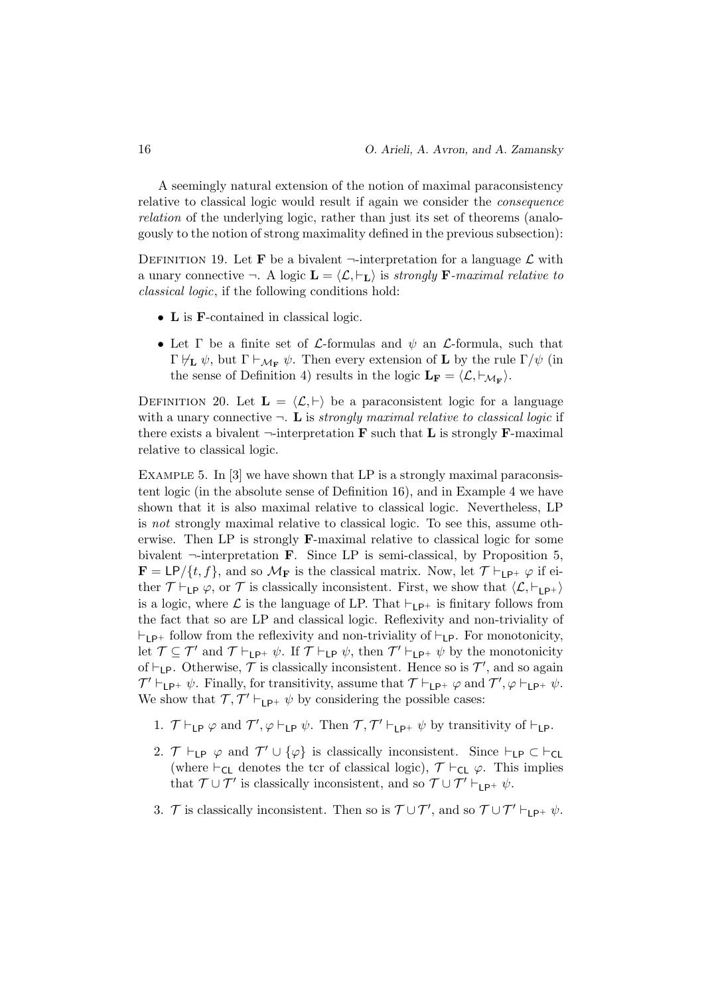A seemingly natural extension of the notion of maximal paraconsistency relative to classical logic would result if again we consider the consequence relation of the underlying logic, rather than just its set of theorems (analogously to the notion of strong maximality defined in the previous subsection):

DEFINITION 19. Let **F** be a bivalent  $\neg$ -interpretation for a language  $\mathcal{L}$  with a unary connective  $\neg$ . A logic  $\mathbf{L} = \langle \mathcal{L}, \vdash_{\mathbf{L}} \rangle$  is strongly **F**-maximal relative to classical logic, if the following conditions hold:

- L is **F**-contained in classical logic.
- Let  $\Gamma$  be a finite set of *L*-formulas and  $\psi$  an *L*-formula, such that Γ $\nvdash_L \psi$ , but Γ  $\vdash_{M_F} \psi$ . Then every extension of **L** by the rule Γ/ψ (in the sense of Definition 4) results in the logic  $\mathbf{L}_{\mathbf{F}} = \langle \mathcal{L}, \vdash_{\mathcal{M}_{\mathbf{F}}} \rangle$ .

DEFINITION 20. Let  $\mathbf{L} = \langle \mathcal{L}, \vdash \rangle$  be a paraconsistent logic for a language with a unary connective  $\neg$ . L is strongly maximal relative to classical logic if there exists a bivalent  $\neg$ -interpretation **F** such that **L** is strongly **F**-maximal relative to classical logic.

EXAMPLE 5. In [3] we have shown that LP is a strongly maximal paraconsistent logic (in the absolute sense of Definition 16), and in Example 4 we have shown that it is also maximal relative to classical logic. Nevertheless, LP is not strongly maximal relative to classical logic. To see this, assume otherwise. Then LP is strongly F-maximal relative to classical logic for some bivalent  $\neg$ -interpretation **F**. Since LP is semi-classical, by Proposition 5,  $\mathbf{F} = \mathsf{LP}/\{t, f\}$ , and so  $\mathcal{M}_{\mathbf{F}}$  is the classical matrix. Now, let  $\mathcal{T} \vdash_{\mathsf{LP}^+} \varphi$  if either  $\mathcal{T} \vdash_{\mathsf{LP}} \varphi$ , or  $\mathcal{T}$  is classically inconsistent. First, we show that  $\langle \mathcal{L}, \vdash_{\mathsf{LP+}} \rangle$ is a logic, where  $\mathcal L$  is the language of LP. That  $\vdash_{\mathsf{LP}^+}$  is finitary follows from the fact that so are LP and classical logic. Reflexivity and non-triviality of  $\vdash_{LP^+}$  follow from the reflexivity and non-triviality of  $\vdash_{LP}$ . For monotonicity, let  $\mathcal{T} \subseteq \mathcal{T}'$  and  $\mathcal{T} \vdash_{\mathsf{LP}^+} \psi$ . If  $\mathcal{T} \vdash_{\mathsf{LP}} \psi$ , then  $\mathcal{T}' \vdash_{\mathsf{LP}^+} \psi$  by the monotonicity of  $\vdash_{\mathsf{LP}}$ . Otherwise,  $\mathcal T$  is classically inconsistent. Hence so is  $\mathcal T'$ , and so again  $\mathcal{T}' \vdash_{\mathsf{LP}^+} \psi$ . Finally, for transitivity, assume that  $\mathcal{T} \vdash_{\mathsf{LP}^+} \varphi$  and  $\mathcal{T}', \varphi \vdash_{\mathsf{LP}^+} \psi$ . We show that  $\mathcal{T}, \mathcal{T}' \vdash_{\mathsf{LP}^+} \psi$  by considering the possible cases:

- 1.  $\mathcal{T} \vdash_{\mathsf{LP}} \varphi$  and  $\mathcal{T}', \varphi \vdash_{\mathsf{LP}} \psi$ . Then  $\mathcal{T}, \mathcal{T}' \vdash_{\mathsf{LP}^+} \psi$  by transitivity of  $\vdash_{\mathsf{LP}}$ .
- 2.  $\mathcal{T} \vdash_{\mathsf{LP}} \varphi$  and  $\mathcal{T}' \cup \{\varphi\}$  is classically inconsistent. Since  $\vdash_{\mathsf{LP}} \subset \vdash_{\mathsf{CL}}$ (where  $\vdash_{\mathsf{CL}}$  denotes the tcr of classical logic),  $\mathcal{T} \vdash_{\mathsf{CL}} \varphi$ . This implies that  $\mathcal{T} \cup \mathcal{T}'$  is classically inconsistent, and so  $\mathcal{T} \cup \mathcal{T}' \vdash_{\mathsf{LP}^+} \psi$ .
- 3. T is classically inconsistent. Then so is  $\mathcal{T} \cup \mathcal{T}'$ , and so  $\mathcal{T} \cup \mathcal{T}' \vdash_{\mathsf{LP}^+} \psi$ .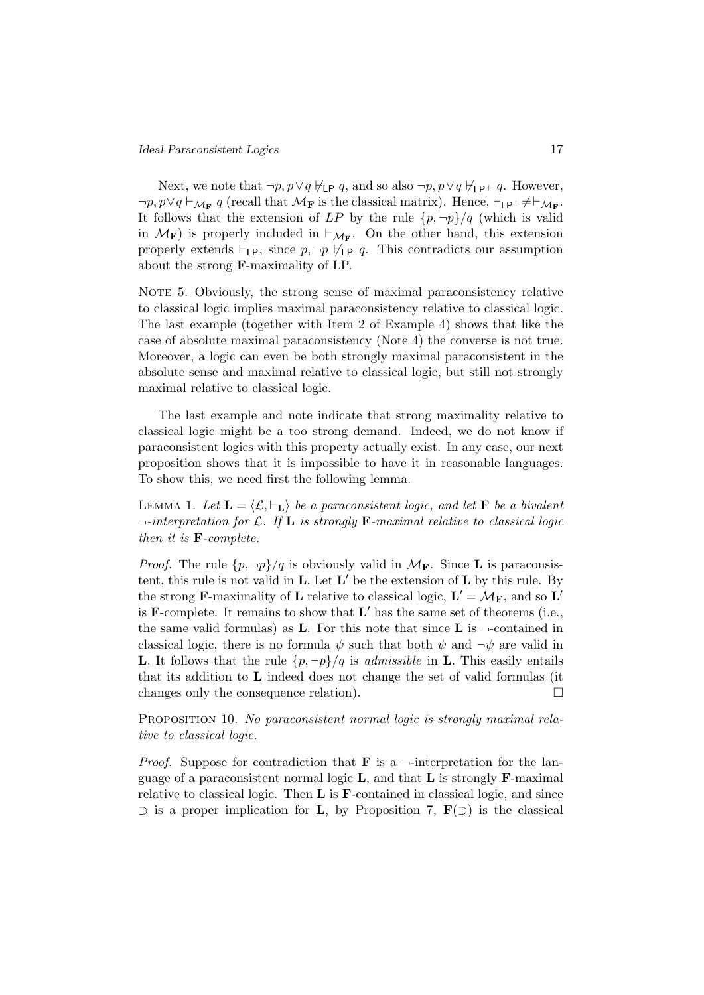Next, we note that  $\neg p, p \lor q \not\vdash_{\mathsf{LP}} q$ , and so also  $\neg p, p \lor q \not\vdash_{\mathsf{LP}^+} q$ . However,  $\neg p, p \lor q \vdash_{\mathcal{M}_{\mathbf{F}}} q$  (recall that  $\mathcal{M}_{\mathbf{F}}$  is the classical matrix). Hence,  $\vdash_{\mathsf{LP^+}} \neq \vdash_{\mathcal{M}_{\mathbf{F}}}$ . It follows that the extension of LP by the rule  $\{p, \neg p\}/q$  (which is valid in  $\mathcal{M}_{\mathbf{F}}$ ) is properly included in  $\vdash_{\mathcal{M}_{\mathbf{F}}}$ . On the other hand, this extension properly extends  $\vdash_{\mathsf{LP}}$ , since  $p, \neg p \not\vdash_{\mathsf{LP}} q$ . This contradicts our assumption about the strong F-maximality of LP.

NOTE 5. Obviously, the strong sense of maximal paraconsistency relative to classical logic implies maximal paraconsistency relative to classical logic. The last example (together with Item 2 of Example 4) shows that like the case of absolute maximal paraconsistency (Note 4) the converse is not true. Moreover, a logic can even be both strongly maximal paraconsistent in the absolute sense and maximal relative to classical logic, but still not strongly maximal relative to classical logic.

The last example and note indicate that strong maximality relative to classical logic might be a too strong demand. Indeed, we do not know if paraconsistent logics with this property actually exist. In any case, our next proposition shows that it is impossible to have it in reasonable languages. To show this, we need first the following lemma.

LEMMA 1. Let  $\mathbf{L} = \langle \mathcal{L}, \vdash_{\mathbf{L}} \rangle$  be a paraconsistent logic, and let **F** be a bivalent  $\neg$ -interpretation for  $\mathcal{L}$ . If  $\mathbf{L}$  is strongly **F**-maximal relative to classical logic then it is F-complete.

*Proof.* The rule  $\{p, \neg p\}/q$  is obviously valid in  $\mathcal{M}_{\mathbf{F}}$ . Since **L** is paraconsistent, this rule is not valid in  $L$ . Let  $L'$  be the extension of  $L$  by this rule. By the strong **F**-maximality of **L** relative to classical logic,  $\mathbf{L}' = \mathcal{M}_{\mathbf{F}}$ , and so  $\mathbf{L}'$ is  $\mathbf{F}$ -complete. It remains to show that  $\mathbf{L}'$  has the same set of theorems (i.e., the same valid formulas) as **L**. For this note that since **L** is  $\neg$ -contained in classical logic, there is no formula  $\psi$  such that both  $\psi$  and  $\neg \psi$  are valid in **L.** It follows that the rule  $\{p, \neg p\}/q$  is *admissible* in **L**. This easily entails that its addition to L indeed does not change the set of valid formulas (it changes only the consequence relation).  $\Box$ 

Proposition 10. No paraconsistent normal logic is strongly maximal relative to classical logic.

*Proof.* Suppose for contradiction that **F** is a  $\neg$ -interpretation for the language of a paraconsistent normal logic  $\bf{L}$ , and that  $\bf{L}$  is strongly  $\bf{F}$ -maximal relative to classical logic. Then  $L$  is  $F$ -contained in classical logic, and since  $\supset$  is a proper implication for **L**, by Proposition 7, **F**( $\supset$ ) is the classical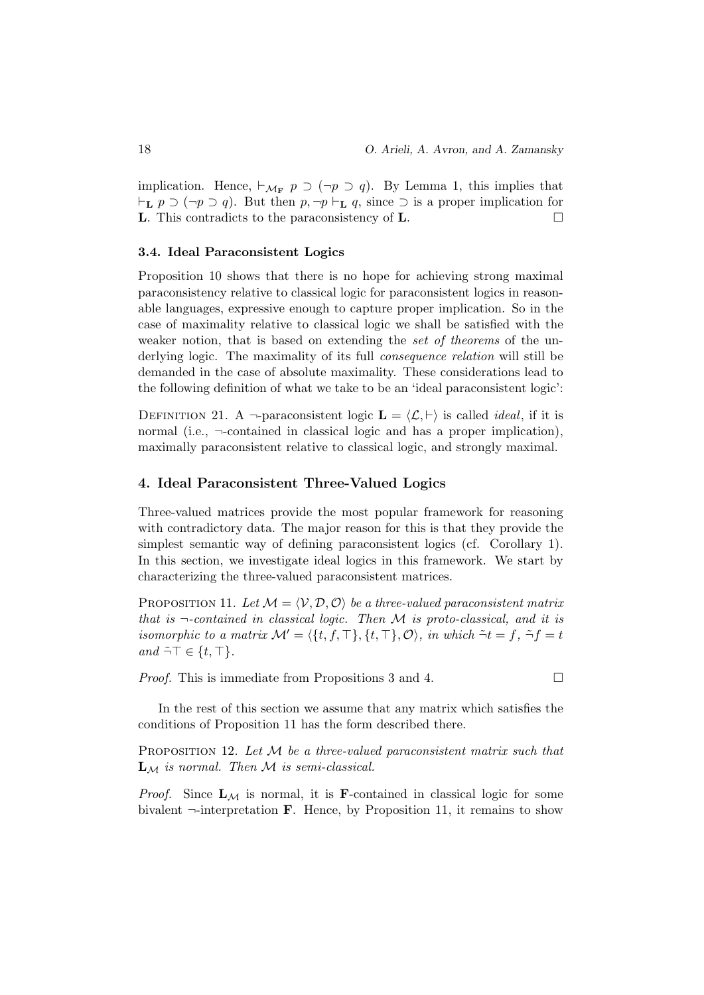implication. Hence,  $\vdash_{\mathcal{M}_{\mathbf{F}}} p \supset (\neg p \supset q)$ . By Lemma 1, this implies that  $\vdash_L p \supset (\neg p \supset q)$ . But then  $p, \neg p \vdash_L q$ , since  $\supset$  is a proper implication for **L**. This contradicts to the paraconsistency of **L**.

# 3.4. Ideal Paraconsistent Logics

Proposition 10 shows that there is no hope for achieving strong maximal paraconsistency relative to classical logic for paraconsistent logics in reasonable languages, expressive enough to capture proper implication. So in the case of maximality relative to classical logic we shall be satisfied with the weaker notion, that is based on extending the set of theorems of the underlying logic. The maximality of its full *consequence relation* will still be demanded in the case of absolute maximality. These considerations lead to the following definition of what we take to be an 'ideal paraconsistent logic':

DEFINITION 21. A  $\neg$ -paraconsistent logic  $\mathbf{L} = \langle \mathcal{L}, \vdash \rangle$  is called *ideal*, if it is normal (i.e., ¬-contained in classical logic and has a proper implication), maximally paraconsistent relative to classical logic, and strongly maximal.

# 4. Ideal Paraconsistent Three-Valued Logics

Three-valued matrices provide the most popular framework for reasoning with contradictory data. The major reason for this is that they provide the simplest semantic way of defining paraconsistent logics (cf. Corollary 1). In this section, we investigate ideal logics in this framework. We start by characterizing the three-valued paraconsistent matrices.

PROPOSITION 11. Let  $M = \langle V, D, O \rangle$  be a three-valued paraconsistent matrix that is  $\neg$ -contained in classical logic. Then M is proto-classical, and it is isomorphic to a matrix  $\mathcal{M}' = \langle \{t, f, \top \}, \{t, \top \}, \mathcal{O} \rangle$ , in which  $\tilde{\neg} t = f$ ,  $\tilde{\neg} f = t$ and  $\tilde{\neg} \top \in \{t, \top\}.$ 

*Proof.* This is immediate from Propositions 3 and 4.  $\Box$ 

In the rest of this section we assume that any matrix which satisfies the conditions of Proposition 11 has the form described there.

PROPOSITION 12. Let  $M$  be a three-valued paraconsistent matrix such that  $L_M$  is normal. Then  $M$  is semi-classical.

*Proof.* Since  $\mathbf{L}_{\mathcal{M}}$  is normal, it is **F**-contained in classical logic for some bivalent  $\neg$ -interpretation **F**. Hence, by Proposition 11, it remains to show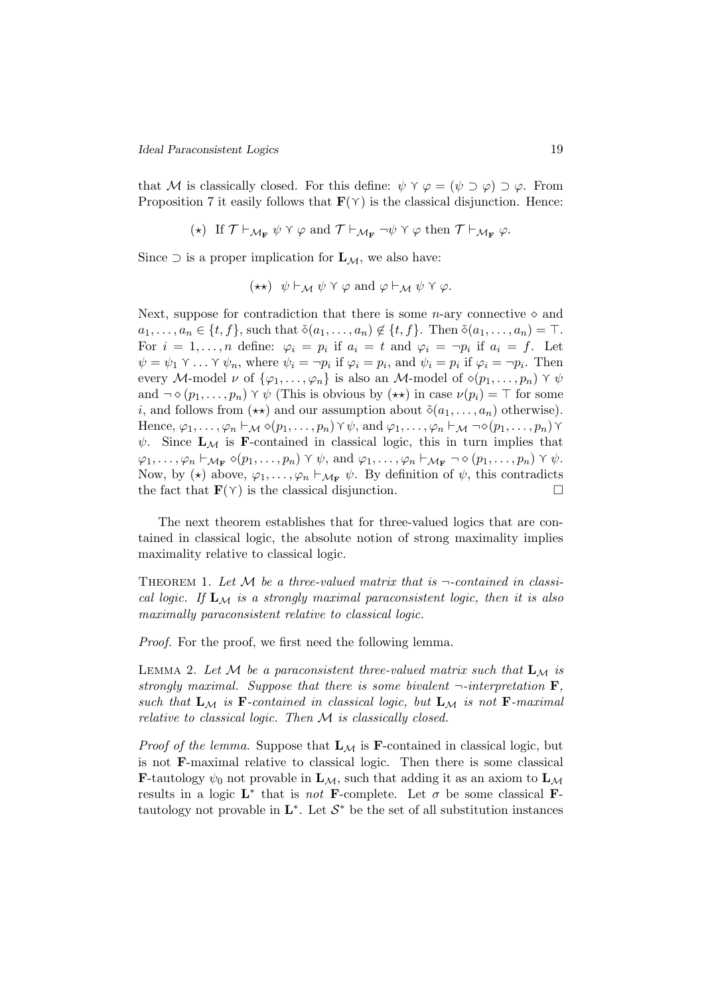that M is classically closed. For this define:  $\psi \gamma \varphi = (\psi \supset \varphi) \supset \varphi$ . From Proposition 7 it easily follows that  $\mathbf{F}(\gamma)$  is the classical disjunction. Hence:

$$
(\star)\ \ \text{If}\ \mathcal{T}\vdash_{\mathcal{M}_{\mathbf{F}}}\psi\curlyvee\varphi\ \text{and}\ \mathcal{T}\vdash_{\mathcal{M}_{\mathbf{F}}}\neg\psi\curlyvee\varphi\ \text{then}\ \mathcal{T}\vdash_{\mathcal{M}_{\mathbf{F}}}\varphi.
$$

Since  $\supset$  is a proper implication for  $\mathbf{L}_M$ , we also have:

$$
(\star \star) \psi \vdash_{\mathcal{M}} \psi \curlyvee \varphi \text{ and } \varphi \vdash_{\mathcal{M}} \psi \curlyvee \varphi.
$$

Next, suppose for contradiction that there is some *n*-ary connective  $\diamond$  and  $a_1, \ldots, a_n \in \{t, f\}$ , such that  $\tilde{\diamond}(a_1, \ldots, a_n) \notin \{t, f\}$ . Then  $\tilde{\diamond}(a_1, \ldots, a_n) = \top$ . For  $i = 1, ..., n$  define:  $\varphi_i = p_i$  if  $a_i = t$  and  $\varphi_i = \neg p_i$  if  $a_i = f$ . Let  $\psi = \psi_1 \vee \ldots \vee \psi_n$ , where  $\psi_i = \neg p_i$  if  $\varphi_i = p_i$ , and  $\psi_i = p_i$  if  $\varphi_i = \neg p_i$ . Then every M-model  $\nu$  of  $\{\varphi_1, \ldots, \varphi_n\}$  is also an M-model of  $\diamond(p_1, \ldots, p_n) \wedge \psi$ and  $\neg \diamond (p_1, \ldots, p_n) \land \psi$  (This is obvious by  $(\star \star)$ ) in case  $\nu(p_i) = \top$  for some i, and follows from  $(\star \star)$  and our assumption about  $\tilde{\diamond}(a_1, \ldots, a_n)$  otherwise). Hence,  $\varphi_1, \ldots, \varphi_n \vdash_{\mathcal{M}} \diamond (p_1, \ldots, p_n) \land \psi$ , and  $\varphi_1, \ldots, \varphi_n \vdash_{\mathcal{M}} \neg \diamond (p_1, \ldots, p_n) \land$  $\psi$ . Since  $\mathbf{L}_{\mathcal{M}}$  is **F**-contained in classical logic, this in turn implies that  $\varphi_1, \ldots, \varphi_n \vdash_{\mathcal{M}_{\mathbf{F}}} \diamond (p_1, \ldots, p_n) \curlyvee \psi$ , and  $\varphi_1, \ldots, \varphi_n \vdash_{\mathcal{M}_{\mathbf{F}}} \neg \diamond (p_1, \ldots, p_n) \curlyvee \psi$ . Now, by ( $\star$ ) above,  $\varphi_1, \ldots, \varphi_n \vdash_{\mathcal{M}_{\mathbf{F}}} \psi$ . By definition of  $\psi$ , this contradicts the fact that  $\mathbf{F}(\gamma)$  is the classical disjunction.

The next theorem establishes that for three-valued logics that are contained in classical logic, the absolute notion of strong maximality implies maximality relative to classical logic.

THEOREM 1. Let M be a three-valued matrix that is  $\neg$ -contained in classical logic. If  $\mathbf{L}_{\mathcal{M}}$  is a strongly maximal paraconsistent logic, then it is also maximally paraconsistent relative to classical logic.

Proof. For the proof, we first need the following lemma.

LEMMA 2. Let M be a paraconsistent three-valued matrix such that  $\mathbf{L}_{\mathcal{M}}$  is strongly maximal. Suppose that there is some bivalent  $\neg$ -interpretation **F**, such that  $L_M$  is F-contained in classical logic, but  $L_M$  is not F-maximal relative to classical logic. Then M is classically closed.

*Proof of the lemma.* Suppose that  $L_M$  is **F**-contained in classical logic, but is not F-maximal relative to classical logic. Then there is some classical **F**-tautology  $\psi_0$  not provable in  $\mathbf{L}_{\mathcal{M}}$ , such that adding it as an axiom to  $\mathbf{L}_{\mathcal{M}}$ results in a logic  $\mathbf{L}^*$  that is *not* **F**-complete. Let  $\sigma$  be some classical **F**tautology not provable in  $\mathbf{L}^*$ . Let  $\mathcal{S}^*$  be the set of all substitution instances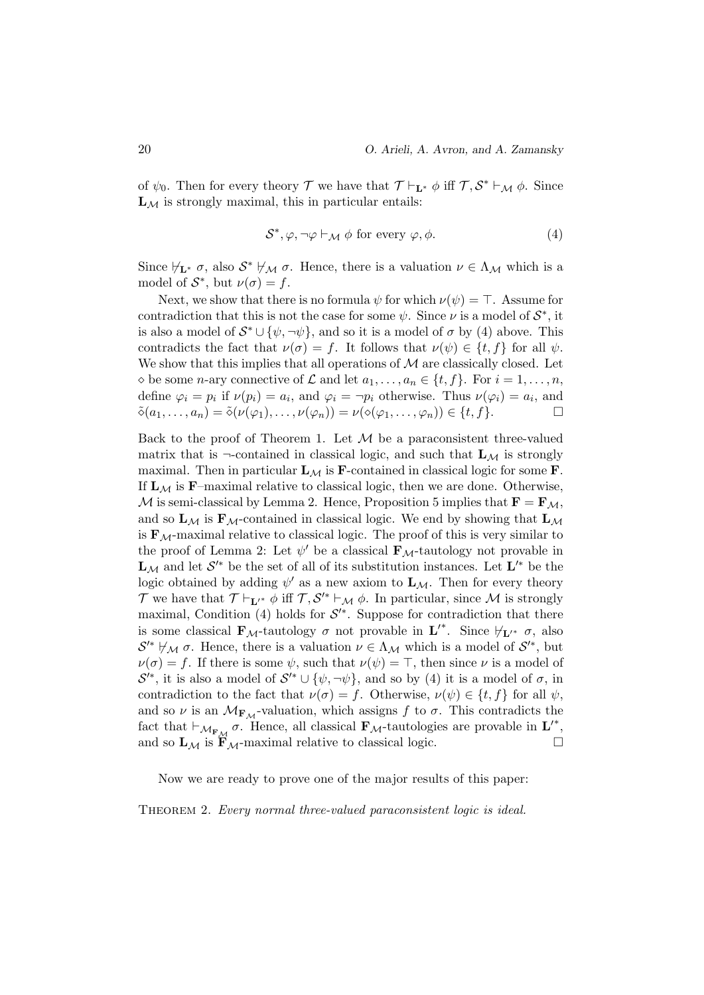of  $\psi_0$ . Then for every theory  $\mathcal T$  we have that  $\mathcal T \vdash_{\mathbf L^*} \phi$  iff  $\mathcal T, \mathcal S^* \vdash_{\mathcal M} \phi$ . Since  $L_M$  is strongly maximal, this in particular entails:

$$
S^*, \varphi, \neg \varphi \vdash_{\mathcal{M}} \phi \text{ for every } \varphi, \phi.
$$
 (4)

Since  $\forall_{\mathbf{L}^*} \sigma$ , also  $\mathcal{S}^* \not\vdash_{\mathcal{M}} \sigma$ . Hence, there is a valuation  $\nu \in \Lambda_{\mathcal{M}}$  which is a model of  $S^*$ , but  $\nu(\sigma) = f$ .

Next, we show that there is no formula  $\psi$  for which  $\nu(\psi) = \top$ . Assume for contradiction that this is not the case for some  $\psi$ . Since  $\nu$  is a model of  $S^*$ , it is also a model of  $S^* \cup {\psi, \neg \psi}$ , and so it is a model of  $\sigma$  by (4) above. This contradicts the fact that  $\nu(\sigma) = f$ . It follows that  $\nu(\psi) \in \{t, f\}$  for all  $\psi$ . We show that this implies that all operations of  $M$  are classically closed. Let  $\Diamond$  be some *n*-ary connective of  $\mathcal L$  and let  $a_1, \ldots, a_n \in \{t, f\}$ . For  $i = 1, \ldots, n$ , define  $\varphi_i = p_i$  if  $\nu(p_i) = a_i$ , and  $\varphi_i = \neg p_i$  otherwise. Thus  $\nu(\varphi_i) = a_i$ , and  $\tilde{\diamond}(a_1,\ldots,a_n)=\tilde{\diamond}(\nu(\varphi_1),\ldots,\nu(\varphi_n))=\nu(\diamond(\varphi_1,\ldots,\varphi_n))\in\{t,f\}.$ 

Back to the proof of Theorem 1. Let  $M$  be a paraconsistent three-valued matrix that is  $\neg$ -contained in classical logic, and such that  $\mathbf{L}_{\mathcal{M}}$  is strongly maximal. Then in particular  $L_M$  is **F**-contained in classical logic for some **F**. If  $\mathbf{L}_M$  is **F**–maximal relative to classical logic, then we are done. Otherwise, M is semi-classical by Lemma 2. Hence, Proposition 5 implies that  $\mathbf{F} = \mathbf{F}_{\mathcal{M}}$ , and so  $\mathbf{L}_{\mathcal{M}}$  is  $\mathbf{F}_{\mathcal{M}}$ -contained in classical logic. We end by showing that  $\mathbf{L}_{\mathcal{M}}$ is  $\mathbf{F}_{\mathcal{M}}$ -maximal relative to classical logic. The proof of this is very similar to the proof of Lemma 2: Let  $\psi'$  be a classical  $\mathbf{F}_{\mathcal{M}}$ -tautology not provable in  ${\bf L}_\mathcal{M}$  and let  $\mathcal{S}'^*$  be the set of all of its substitution instances. Let  ${\bf L}'^*$  be the logic obtained by adding  $\psi'$  as a new axiom to  $\mathbf{L}_{\mathcal{M}}$ . Then for every theory T we have that  $\mathcal{T} \vdash_{\mathbf{L}'} \phi$  iff  $\mathcal{T}, \mathcal{S}'^* \vdash_{\mathcal{M}} \phi$ . In particular, since  $\mathcal M$  is strongly maximal, Condition  $(4)$  holds for  $\mathcal{S}'^*$ . Suppose for contradiction that there is some classical  $\mathbf{F}_{\mathcal{M}}$ -tautology  $\sigma$  not provable in  $\mathbf{L}'^*$ . Since  $\nvdash_{\mathbf{L}'} \sigma$ , also  $\mathcal{S}'^* \not\vdash_{\mathcal{M}} \sigma$ . Hence, there is a valuation  $\nu \in \Lambda_{\mathcal{M}}$  which is a model of  $\mathcal{S}'^*$ , but  $\nu(\sigma) = f$ . If there is some  $\psi$ , such that  $\nu(\psi) = \top$ , then since  $\nu$  is a model of  $\mathcal{S}'^*$ , it is also a model of  $\mathcal{S}'^* \cup {\psi, \neg \psi}$ , and so by (4) it is a model of  $\sigma$ , in contradiction to the fact that  $\nu(\sigma) = f$ . Otherwise,  $\nu(\psi) \in \{t, f\}$  for all  $\psi$ , and so  $\nu$  is an  $\mathcal{M}_{\mathbf{F}_M}$ -valuation, which assigns f to  $\sigma$ . This contradicts the fact that  $\vdash_{\mathcal{M}_{F_{\mathcal{M}}}} \sigma$ . Hence, all classical  $\mathbf{F}_{\mathcal{M}}$ -tautologies are provable in  $\mathbf{L}'^*$ , and so  $\mathbf{L}_{\mathcal{M}}$  is  $\mathbf{\hat{F}}_{\mathcal{M}}$ -maximal relative to classical logic.

Now we are ready to prove one of the major results of this paper:

THEOREM 2. Every normal three-valued paraconsistent logic is ideal.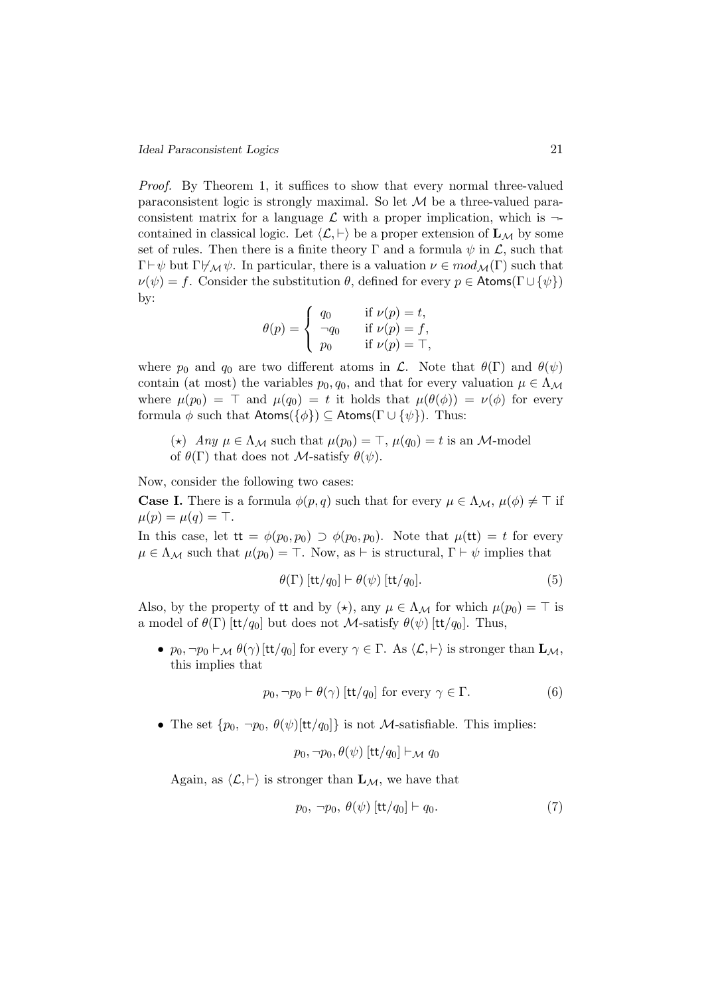Proof. By Theorem 1, it suffices to show that every normal three-valued paraconsistent logic is strongly maximal. So let M be a three-valued paraconsistent matrix for a language  $\mathcal L$  with a proper implication, which is  $\neg$ contained in classical logic. Let  $\langle \mathcal{L}, \vdash \rangle$  be a proper extension of  $\mathbf{L}_{\mathcal{M}}$  by some set of rules. Then there is a finite theory  $\Gamma$  and a formula  $\psi$  in  $\mathcal{L}$ , such that  $\Gamma\vdash\psi$  but  $\Gamma\nvdash_{\mathcal{M}}\psi$ . In particular, there is a valuation  $\nu \in mod_{\mathcal{M}}(\Gamma)$  such that  $\nu(\psi) = f$ . Consider the substitution  $\theta$ , defined for every  $p \in$  Atoms( $\Gamma \cup {\psi}$ ) by:

$$
\theta(p) = \begin{cases} q_0 & \text{if } \nu(p) = t, \\ \neg q_0 & \text{if } \nu(p) = f, \\ p_0 & \text{if } \nu(p) = \top, \end{cases}
$$

where  $p_0$  and  $q_0$  are two different atoms in  $\mathcal{L}$ . Note that  $\theta(\Gamma)$  and  $\theta(\psi)$ contain (at most) the variables  $p_0, q_0$ , and that for every valuation  $\mu \in \Lambda_{\mathcal{M}}$ where  $\mu(p_0) = \top$  and  $\mu(q_0) = t$  it holds that  $\mu(\theta(\phi)) = \nu(\phi)$  for every formula  $\phi$  such that Atoms( $\{\phi\}$ )  $\subseteq$  Atoms( $\Gamma \cup \{\psi\}$ ). Thus:

(\*) Any  $\mu \in \Lambda_{\mathcal{M}}$  such that  $\mu(p_0) = \top$ ,  $\mu(q_0) = t$  is an M-model of  $\theta(\Gamma)$  that does not *M*-satisfy  $\theta(\psi)$ .

Now, consider the following two cases:

**Case I.** There is a formula  $\phi(p,q)$  such that for every  $\mu \in \Lambda_{\mathcal{M}}, \mu(\phi) \neq \top$  if  $\mu(p) = \mu(q) = \top.$ 

In this case, let  $tt = \phi(p_0, p_0) \supset \phi(p_0, p_0)$ . Note that  $\mu(tt) = t$  for every  $\mu \in \Lambda_{\mathcal{M}}$  such that  $\mu(p_0) = \top$ . Now, as  $\vdash$  is structural,  $\Gamma \vdash \psi$  implies that

$$
\theta(\Gamma) \left[ \frac{\mathsf{t}}{\mathsf{t}} / q_0 \right] \vdash \theta(\psi) \left[ \frac{\mathsf{t}}{\mathsf{t}} / q_0 \right]. \tag{5}
$$

Also, by the property of it and by  $(\star)$ , any  $\mu \in \Lambda_{\mathcal{M}}$  for which  $\mu(p_0) = \top$  is a model of  $\theta(\Gamma)$  [tt/q<sub>0</sub>] but does not M-satisfy  $\theta(\psi)$  [tt/q<sub>0</sub>]. Thus,

•  $p_0, \neg p_0 \vdash_{\mathcal{M}} \theta(\gamma)$  [tt/q<sub>0</sub>] for every  $\gamma \in \Gamma$ . As  $\langle \mathcal{L}, \vdash \rangle$  is stronger than  $\mathbf{L}_{\mathcal{M}},$ this implies that

$$
p_0, \neg p_0 \vdash \theta(\gamma) \text{ [tt/}q_0 \text{] for every } \gamma \in \Gamma. \tag{6}
$$

• The set  $\{p_0, \neg p_0, \theta(\psi)[\text{tt}/q_0]\}$  is not *M*-satisfiable. This implies:

$$
p_0, \neg p_0, \theta(\psi)
$$
 [tt/q<sub>0</sub>]  $\vdash_{\mathcal{M}} q_0$ 

Again, as  $\langle \mathcal{L}, \vdash \rangle$  is stronger than  $\mathbf{L}_{\mathcal{M}}$ , we have that

$$
p_0, \neg p_0, \theta(\psi) \left[ \text{tt}/q_0 \right] \vdash q_0. \tag{7}
$$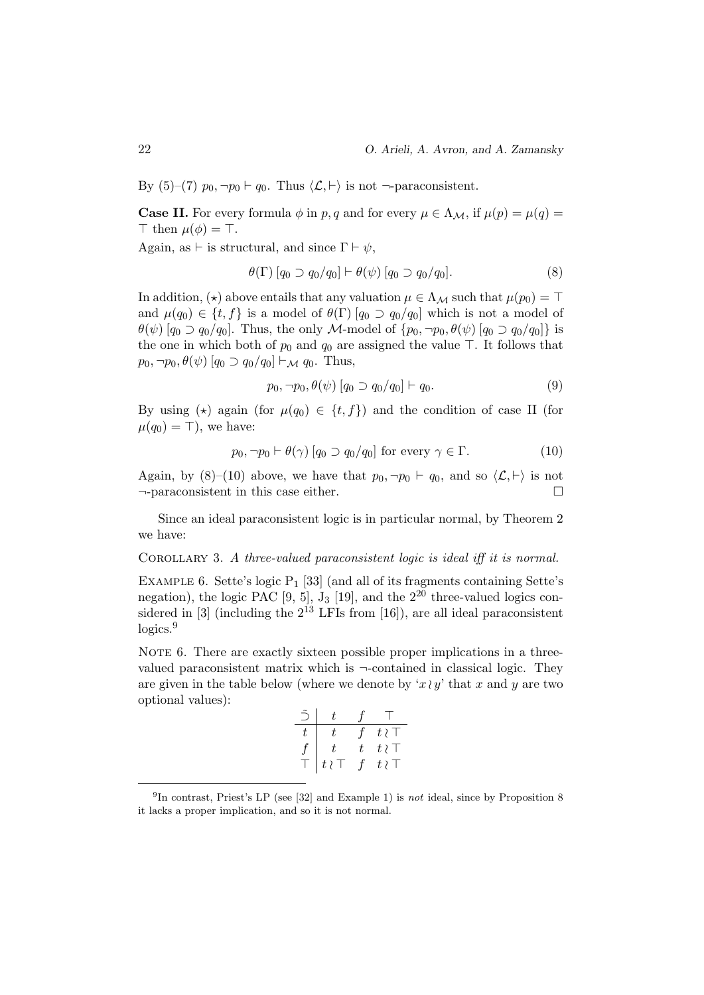By (5)–(7)  $p_0, \neg p_0 \vdash q_0$ . Thus  $\langle \mathcal{L}, \vdash \rangle$  is not  $\neg$ -paraconsistent.

**Case II.** For every formula  $\phi$  in p, q and for every  $\mu \in \Lambda_{\mathcal{M}}$ , if  $\mu(p) = \mu(q)$  $\top$  then  $\mu(\phi) = \top$ .

Again, as  $\vdash$  is structural, and since  $\Gamma \vdash \psi$ ,

$$
\theta(\Gamma) [q_0 \supset q_0/q_0] \vdash \theta(\psi) [q_0 \supset q_0/q_0]. \tag{8}
$$

In addition, ( $\star$ ) above entails that any valuation  $\mu \in \Lambda_{\mathcal{M}}$  such that  $\mu(p_0) = \top$ and  $\mu(q_0) \in \{t, f\}$  is a model of  $\theta(\Gamma)$   $[q_0 \supset q_0/q_0]$  which is not a model of  $\theta(\psi)$  [ $q_0 \supset q_0/q_0$ ]. Thus, the only M-model of  $\{p_0, \neg p_0, \theta(\psi) \mid q_0 \supset q_0/q_0\}$  is the one in which both of  $p_0$  and  $q_0$  are assigned the value  $\top$ . It follows that  $p_0, \neg p_0, \theta(\psi)$  [ $q_0 \supset q_0/q_0$ ]  $\vdash_{\mathcal{M}} q_0$ . Thus,

$$
p_0, \neg p_0, \theta(\psi) [q_0 \supset q_0/q_0] \vdash q_0. \tag{9}
$$

By using ( $\star$ ) again (for  $\mu(q_0) \in \{t, f\}$ ) and the condition of case II (for  $\mu(q_0) = \top$ , we have:

$$
p_0, \neg p_0 \vdash \theta(\gamma) \left[ q_0 \supset q_0 / q_0 \right] \text{ for every } \gamma \in \Gamma.
$$
 (10)

Again, by (8)–(10) above, we have that  $p_0, \neg p_0 \vdash q_0$ , and so  $\langle \mathcal{L}, \vdash \rangle$  is not ¬-paraconsistent in this case either.

Since an ideal paraconsistent logic is in particular normal, by Theorem 2 we have:

COROLLARY 3. A three-valued paraconsistent logic is ideal iff it is normal.

EXAMPLE 6. Sette's logic  $P_1$  [33] (and all of its fragments containing Sette's negation), the logic PAC  $[9, 5]$ ,  $J_3$  [19], and the  $2^{20}$  three-valued logics considered in [3] (including the  $2^{13}$  LFIs from [16]), are all ideal paraconsistent  $logics.<sup>9</sup>$ 

NOTE 6. There are exactly sixteen possible proper implications in a threevalued paraconsistent matrix which is  $\neg$ -contained in classical logic. They are given in the table below (where we denote by ' $x \wr y'$  that x and y are two optional values):

| $\bigcap$        |            | $^{\mathcal{L}}$ | $\mathbf{L}$ |
|------------------|------------|------------------|--------------|
| t.               |            | $\mathcal{F}$    | $t\wr$       |
| $\boldsymbol{f}$ |            |                  | $t \wr \top$ |
| Τ                | $t\wr\top$ | $\mathcal{L}$    | $t \wr$      |

<sup>&</sup>lt;sup>9</sup>In contrast, Priest's LP (see [32] and Example 1) is not ideal, since by Proposition 8 it lacks a proper implication, and so it is not normal.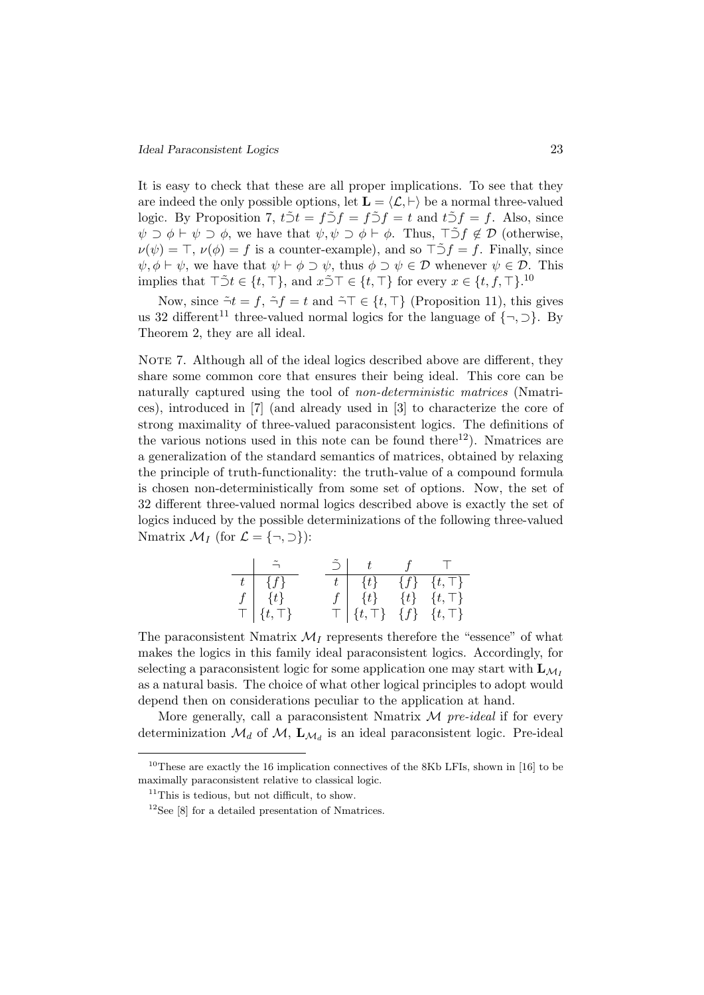It is easy to check that these are all proper implications. To see that they are indeed the only possible options, let  $\mathbf{L} = \langle \mathcal{L}, \vdash \rangle$  be a normal three-valued logic. By Proposition 7,  $t\tilde{\supset}t = f\tilde{\supset}f = t$  and  $t\tilde{\supset}f = f$ . Also, since  $\psi \supset \phi \vdash \psi \supset \phi$ , we have that  $\psi, \psi \supset \phi \vdash \phi$ . Thus,  $\top \tilde{\supset} f \notin \mathcal{D}$  (otherwise,  $\nu(\psi) = \top$ ,  $\nu(\phi) = f$  is a counter-example), and so  $\top 5f = f$ . Finally, since  $\psi, \phi \vdash \psi$ , we have that  $\psi \vdash \phi \supset \psi$ , thus  $\phi \supset \psi \in \mathcal{D}$  whenever  $\psi \in \mathcal{D}$ . This implies that  $\top \tilde{\supset} t \in \{t, \top\}$ , and  $x \tilde{\supset} \top \in \{t, \top\}$  for every  $x \in \{t, f, \top\}$ .<sup>10</sup>

Now, since  $\tilde{\neg}t = f$ ,  $\tilde{\neg}f = t$  and  $\tilde{\neg}T \in \{t, \top\}$  (Proposition 11), this gives us 32 different<sup>11</sup> three-valued normal logics for the language of  $\{\neg, \neg\}$ . By Theorem 2, they are all ideal.

NOTE 7. Although all of the ideal logics described above are different, they share some common core that ensures their being ideal. This core can be naturally captured using the tool of non-deterministic matrices (Nmatrices), introduced in [7] (and already used in [3] to characterize the core of strong maximality of three-valued paraconsistent logics. The definitions of the various notions used in this note can be found there<sup>12</sup>). Nmatrices are a generalization of the standard semantics of matrices, obtained by relaxing the principle of truth-functionality: the truth-value of a compound formula is chosen non-deterministically from some set of options. Now, the set of 32 different three-valued normal logics described above is exactly the set of logics induced by the possible determinizations of the following three-valued Nmatrix  $\mathcal{M}_I$  (for  $\mathcal{L} = \{\neg, \supset\}$ ):

| $\{f\}$                                                                                  | $\{t\}$                     |         | $\{f\}$ $\{t,\overline{\top}\}$ |
|------------------------------------------------------------------------------------------|-----------------------------|---------|---------------------------------|
| $\{t\}$<br>$\frac{f}{\top}\left[\begin{array}{c} \{t\} \\ \{t,\top\} \end{array}\right]$ | $\{t\}$                     | $\{t\}$ | $\{t,\top\}$                    |
|                                                                                          | $\vert \ \{t,\top \} \vert$ |         | $\{f\}$ $\{t,\top\}$            |

The paraconsistent Nmatrix  $\mathcal{M}_I$  represents therefore the "essence" of what makes the logics in this family ideal paraconsistent logics. Accordingly, for selecting a paraconsistent logic for some application one may start with  $\mathbf{L}_{M}$ as a natural basis. The choice of what other logical principles to adopt would depend then on considerations peculiar to the application at hand.

More generally, call a paraconsistent Nmatrix  $\mathcal M$  pre-ideal if for every determinization  $\mathcal{M}_d$  of  $\mathcal{M}$ ,  $\mathbf{L}_{\mathcal{M}_d}$  is an ideal paraconsistent logic. Pre-ideal

<sup>&</sup>lt;sup>10</sup>These are exactly the 16 implication connectives of the 8Kb LFIs, shown in [16] to be maximally paraconsistent relative to classical logic.

<sup>&</sup>lt;sup>11</sup>This is tedious, but not difficult, to show.

 $12$ See [8] for a detailed presentation of Nmatrices.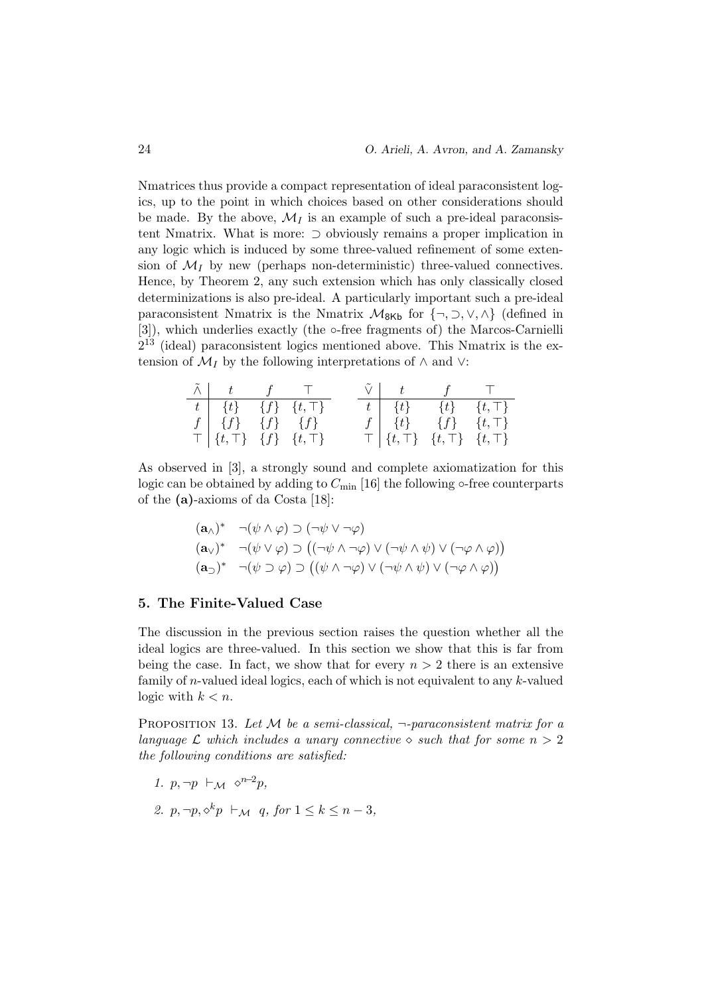Nmatrices thus provide a compact representation of ideal paraconsistent logics, up to the point in which choices based on other considerations should be made. By the above,  $\mathcal{M}_I$  is an example of such a pre-ideal paraconsistent Nmatrix. What is more: ⊃ obviously remains a proper implication in any logic which is induced by some three-valued refinement of some extension of  $\mathcal{M}_I$  by new (perhaps non-deterministic) three-valued connectives. Hence, by Theorem 2, any such extension which has only classically closed determinizations is also pre-ideal. A particularly important such a pre-ideal paraconsistent Nmatrix is the Nmatrix  $\mathcal{M}_{8Kb}$  for  $\{\neg, \neg, \vee, \wedge\}$  (defined in [3]), which underlies exactly (the ∘-free fragments of) the Marcos-Carnielli  $2^{13}$  (ideal) paraconsistent logics mentioned above. This Nmatrix is the extension of  $\mathcal{M}_I$  by the following interpretations of  $\wedge$  and  $\vee$ :

|                                                        | $\tilde{\wedge}$ $\begin{array}{ccc} t & f & \top \end{array}$ | $\tilde{\vee}$ $t$ $f$ $T$                                |  |
|--------------------------------------------------------|----------------------------------------------------------------|-----------------------------------------------------------|--|
| $\overline{t \mid \{t\}} \quad \{f\} \quad \{t,\top\}$ |                                                                | $t \begin{bmatrix} t \end{bmatrix}$ $\{t\}$ $\{t, \top\}$ |  |
| $f \mid \{f\} \quad \{f\} \quad \{f\}$                 |                                                                | $f \mid \{t\}$ $\{f\}$ $\{t,\top\}$                       |  |
| $\top$ {t, $\top$ } {f} {t, $\top$ }                   |                                                                | $\top   \{t,\top\} \{t,\top\} \{t,\top\} $                |  |

As observed in [3], a strongly sound and complete axiomatization for this logic can be obtained by adding to  $C_{\text{min}}$  [16] the following  $\circ$ -free counterparts of the (a)-axioms of da Costa [18]:

$$
(\mathbf{a}_{\wedge})^* \quad \neg(\psi \wedge \varphi) \supset (\neg \psi \vee \neg \varphi)
$$
  
\n
$$
(\mathbf{a}_{\vee})^* \quad \neg(\psi \vee \varphi) \supset ((\neg \psi \wedge \neg \varphi) \vee (\neg \psi \wedge \psi) \vee (\neg \varphi \wedge \varphi))
$$
  
\n
$$
(\mathbf{a}_{\supset})^* \quad \neg(\psi \supset \varphi) \supset ((\psi \wedge \neg \varphi) \vee (\neg \psi \wedge \psi) \vee (\neg \varphi \wedge \varphi))
$$

#### 5. The Finite-Valued Case

The discussion in the previous section raises the question whether all the ideal logics are three-valued. In this section we show that this is far from being the case. In fact, we show that for every  $n > 2$  there is an extensive family of *n*-valued ideal logics, each of which is not equivalent to any  $k$ -valued logic with  $k < n$ .

PROPOSITION 13. Let  $M$  be a semi-classical,  $\neg$ -paraconsistent matrix for a language  $\mathcal L$  which includes a unary connective  $\infty$  such that for some  $n > 2$ the following conditions are satisfied:

- 1.  $p, \neg p \vdash_{\mathcal{M}} \diamond^{n-2}p$ ,
- 2.  $p, \neg p, \Diamond^k p \vdash_{\mathcal{M}} q$ , for  $1 \leq k \leq n-3$ ,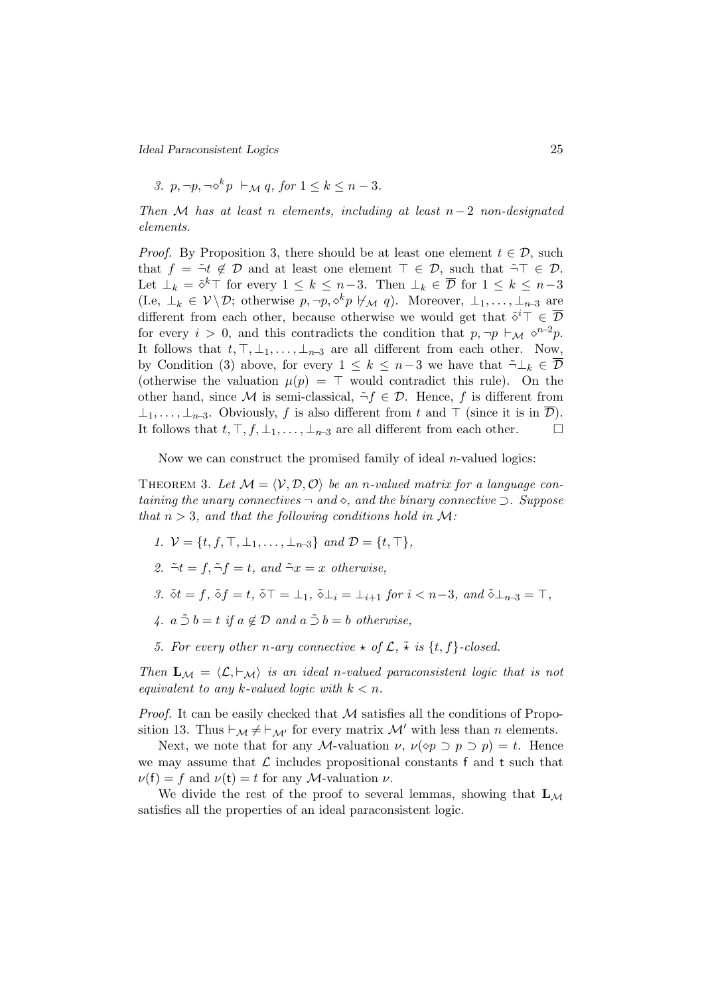Ideal Paraconsistent Logics 25

3. p,  $\neg p, \neg \diamond^k p \vdash_M q$ , for  $1 \leq k \leq n-3$ .

Then M has at least n elements, including at least  $n-2$  non-designated elements.

*Proof.* By Proposition 3, there should be at least one element  $t \in \mathcal{D}$ , such that  $f = \tilde{\neg} t \notin \mathcal{D}$  and at least one element  $\top \in \mathcal{D}$ , such that  $\tilde{\neg} \top \in \mathcal{D}$ . Let  $\perp_k = \tilde{\diamond}^k \top$  for every  $1 \leq k \leq n-3$ . Then  $\perp_k \in \overline{\mathcal{D}}$  for  $1 \leq k \leq n-3$ (I.e,  $\perp_k \in \mathcal{V} \backslash \mathcal{D}$ ; otherwise  $p, \neg p, \Diamond^k p \not\vdash_{\mathcal{M}} q$ ). Moreover,  $\perp_1, \ldots, \perp_{n-3}$  are different from each other, because otherwise we would get that  $\tilde{\diamond}^i \top \in \overline{\mathcal{D}}$ for every  $i > 0$ , and this contradicts the condition that  $p, \neg p \vdash_{\mathcal{M}} \Diamond^{n-2}p$ . It follows that  $t, \top, \bot_1, \ldots, \bot_{n-3}$  are all different from each other. Now, by Condition (3) above, for every  $1 \leq k \leq n-3$  we have that  $\tilde{\neg} \bot_k \in \overline{\mathcal{D}}$ (otherwise the valuation  $\mu(p) = \top$  would contradict this rule). On the other hand, since M is semi-classical,  $\tilde{\neg} f \in \mathcal{D}$ . Hence, f is different from  $\perp_1, \ldots, \perp_{n-3}$ . Obviously, f is also different from t and  $\perp$  (since it is in  $\mathcal{D}$ ). It follows that  $t, \top, f, \bot_1, \ldots, \bot_{n-3}$  are all different from each other. □

Now we can construct the promised family of ideal  $n$ -valued logics:

THEOREM 3. Let  $M = \langle V, D, O \rangle$  be an n-valued matrix for a language containing the unary connectives  $\neg$  and  $\diamond$ , and the binary connective  $\supset$ . Suppose that  $n > 3$ , and that the following conditions hold in M:

- 1.  $V = \{t, f, \top, \bot_1, \ldots, \bot_{n-3}\}$  and  $\mathcal{D} = \{t, \top\},\$
- 2.  $\tilde{\neg} t = f$ ,  $\tilde{\neg} t = t$ , and  $\tilde{\neg} x = x$  otherwise.
- 3.  $\delta t = f$ ,  $\delta f = t$ ,  $\delta \top = \bot_1$ ,  $\delta \bot_i = \bot_{i+1}$  for  $i < n-3$ , and  $\delta \bot_{n-3} = \top$ ,
- 4.  $a \tilde{\supset} b = t$  if  $a \notin \mathcal{D}$  and  $a \tilde{\supset} b = b$  otherwise,
- 5. For every other n-ary connective  $\star$  of  $\mathcal{L}, \tilde{\star}$  is  $\{t, f\}$ -closed.

Then  $\mathbf{L}_{\mathcal{M}} = \langle \mathcal{L}, \vdash_{\mathcal{M}} \rangle$  is an ideal n-valued paraconsistent logic that is not equivalent to any k-valued logic with  $k < n$ .

*Proof.* It can be easily checked that  $M$  satisfies all the conditions of Proposition 13. Thus  $\vdash_{\mathcal{M}} \neq \vdash_{\mathcal{M}'}$  for every matrix  $\mathcal{M}'$  with less than n elements.

Next, we note that for any M-valuation  $\nu$ ,  $\nu(\infty p \supset p \supset p) = t$ . Hence we may assume that  $\mathcal L$  includes propositional constants f and t such that  $\nu(f) = f$  and  $\nu(f) = t$  for any *M*-valuation  $\nu$ .

We divide the rest of the proof to several lemmas, showing that  $L_M$ satisfies all the properties of an ideal paraconsistent logic.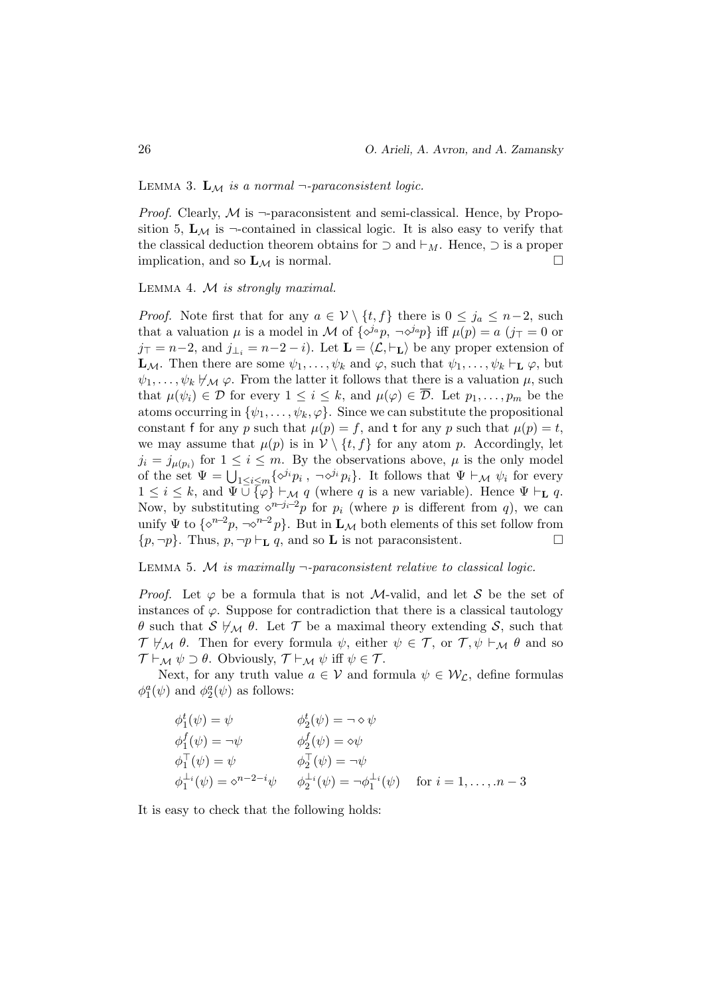LEMMA 3.  $\mathbf{L}_{\mathcal{M}}$  is a normal  $\neg$ -paraconsistent logic.

*Proof.* Clearly,  $M$  is  $\neg$ -paraconsistent and semi-classical. Hence, by Proposition 5,  $L_M$  is  $\neg$ -contained in classical logic. It is also easy to verify that the classical deduction theorem obtains for  $\supset$  and  $\vdash_M$ . Hence,  $\supset$  is a proper implication, and so  $\mathbf{L}_{\mathcal{M}}$  is normal.

LEMMA 4.  $M$  is strongly maximal.

*Proof.* Note first that for any  $a \in V \setminus \{t, f\}$  there is  $0 \leq j_a \leq n-2$ , such that a valuation  $\mu$  is a model in M of  $\{\delta^{ja}p, \neg \delta^{ja}p\}$  iff  $\mu(p) = a$   $(j \top = 0 \text{ or }$  $j_{\top} = n-2$ , and  $j_{\perp i} = n-2-i$ ). Let  $\mathbf{L} = \langle \mathcal{L}, \vdash_{\mathbf{L}} \rangle$  be any proper extension of  $\mathbf{L}_{\mathcal{M}}$ . Then there are some  $\psi_1, \ldots, \psi_k$  and  $\varphi$ , such that  $\psi_1, \ldots, \psi_k \vdash_{\mathbf{L}} \varphi$ , but  $\psi_1, \ldots, \psi_k \not\vdash_{\mathcal{M}} \varphi$ . From the latter it follows that there is a valuation  $\mu$ , such that  $\mu(\psi_i) \in \mathcal{D}$  for every  $1 \leq i \leq k$ , and  $\mu(\varphi) \in \overline{\mathcal{D}}$ . Let  $p_1, \ldots, p_m$  be the atoms occurring in  $\{\psi_1, \ldots, \psi_k, \varphi\}$ . Since we can substitute the propositional constant f for any p such that  $\mu(p) = f$ , and t for any p such that  $\mu(p) = t$ , we may assume that  $\mu(p)$  is in  $\mathcal{V} \setminus \{t, f\}$  for any atom p. Accordingly, let  $j_i = j_{\mu(p_i)}$  for  $1 \leq i \leq m$ . By the observations above,  $\mu$  is the only model of the set  $\Psi = \bigcup_{1 \leq i \leq m} \{ \diamond^{j_i} p_i \}, \neg \diamond^{j_i} p_i \}.$  It follows that  $\Psi \vdash_{\mathcal{M}} \psi_i$  for every  $1 \leq i \leq k$ , and  $\Psi \cup \overline{\{\varphi\}} \vdash_{\mathcal{M}} q$  (where q is a new variable). Hence  $\Psi \vdash_{\mathbf{L}} q$ . Now, by substituting  $\Diamond^{n-j_i-2}p$  for  $p_i$  (where p is different from q), we can unify  $\Psi$  to  $\{\diamond^{n-2}p, \neg \diamond^{n-2}p\}$ . But in  $\mathbf{L}_M$  both elements of this set follow from  $\{p, \neg p\}$ . Thus,  $p, \neg p \vdash_L q$ , and so **L** is not paraconsistent.

# LEMMA 5. M is maximally  $\neg$ -paraconsistent relative to classical logic.

*Proof.* Let  $\varphi$  be a formula that is not M-valid, and let S be the set of instances of  $\varphi$ . Suppose for contradiction that there is a classical tautology θ such that  $\mathcal{S} \not\vdash_{\mathcal{M}} \theta$ . Let T be a maximal theory extending S, such that  $\mathcal{T} \not\vdash_{\mathcal{M}} \theta$ . Then for every formula  $\psi$ , either  $\psi \in \mathcal{T}$ , or  $\mathcal{T}, \psi \vdash_{\mathcal{M}} \theta$  and so  $\mathcal{T} \vdash_{\mathcal{M}} \psi \supset \theta$ . Obviously,  $\mathcal{T} \vdash_{\mathcal{M}} \psi$  iff  $\psi \in \mathcal{T}$ .

Next, for any truth value  $a \in V$  and formula  $\psi \in \mathcal{W}_{\mathcal{L}}$ , define formulas  $\phi_1^a(\psi)$  and  $\phi_2^a(\psi)$  as follows:

$$
\begin{aligned}\n\phi_1^t(\psi) &= \psi & \phi_2^t(\psi) &= \neg \diamond \psi \\
\phi_1^f(\psi) &= \neg \psi & \phi_2^f(\psi) &= \diamond \psi \\
\phi_1^\top(\psi) &= \psi & \phi_2^\top(\psi) &= \neg \psi \\
\phi_1^{\perp_i}(\psi) &= \diamond^{n-2-i}\psi & \phi_2^{\perp_i}(\psi) &= \neg \phi_1^{\perp_i}(\psi) & \text{for } i = 1, \dots, n-3\n\end{aligned}
$$

It is easy to check that the following holds: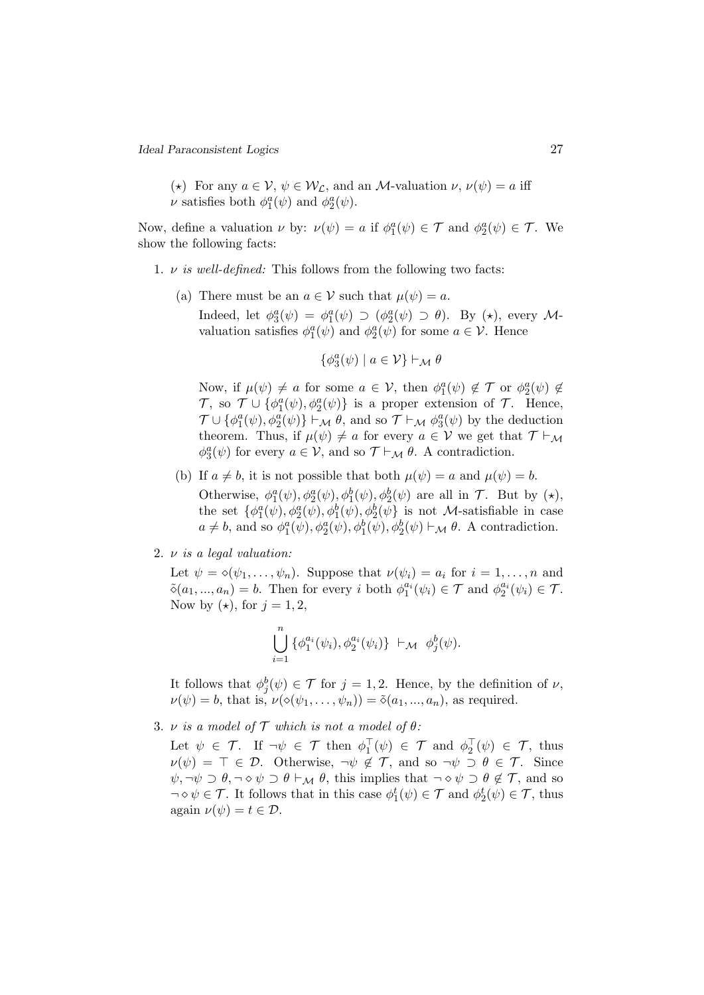(\*) For any  $a \in V$ ,  $\psi \in \mathcal{W}_\mathcal{L}$ , and an M-valuation  $\nu$ ,  $\nu(\psi) = a$  iff  $\nu$  satisfies both  $\phi_1^a(\psi)$  and  $\phi_2^a(\psi)$ .

Now, define a valuation  $\nu$  by:  $\nu(\psi) = a$  if  $\phi_1^a(\psi) \in \mathcal{T}$  and  $\phi_2^a(\psi) \in \mathcal{T}$ . We show the following facts:

- 1.  $\nu$  is well-defined: This follows from the following two facts:
	- (a) There must be an  $a \in V$  such that  $\mu(\psi) = a$ .

Indeed, let  $\phi_3^a(\psi) = \phi_1^a(\psi) \supset (\phi_2^a(\psi) \supset \theta)$ . By  $(\star)$ , every Mvaluation satisfies  $\phi_1^a(\psi)$  and  $\phi_2^a(\psi)$  for some  $a \in \mathcal{V}$ . Hence

$$
\{\phi^a_3(\psi) \mid a \in \mathcal{V}\} \vdash_{\mathcal{M}} \theta
$$

Now, if  $\mu(\psi) \neq a$  for some  $a \in \mathcal{V}$ , then  $\phi_1^a(\psi) \notin \mathcal{T}$  or  $\phi_2^a(\psi) \notin$  $\mathcal{T}$ , so  $\mathcal{T} \cup \{φ_1^a(ψ), φ_2^a(ψ)\}$  is a proper extension of  $\mathcal{T}$ . Hence,  $\mathcal{T} \cup \{\phi_1^a(\psi), \phi_2^a(\psi)\}\vdash_{\mathcal{M}} \theta$ , and so  $\mathcal{T} \vdash_{\mathcal{M}} \phi_3^a(\psi)$  by the deduction theorem. Thus, if  $\mu(\psi) \neq a$  for every  $a \in V$  we get that  $\mathcal{T} \vdash_{\mathcal{M}}$  $\phi_3^a(\psi)$  for every  $a \in \mathcal{V}$ , and so  $\mathcal{T} \vdash_{\mathcal{M}} \theta$ . A contradiction.

- (b) If  $a \neq b$ , it is not possible that both  $\mu(\psi) = a$  and  $\mu(\psi) = b$ . Otherwise,  $\phi_1^a(\psi), \phi_2^a(\psi), \phi_1^b(\psi), \phi_2^b(\psi)$  are all in  $\mathcal{T}$ . But by  $(\star)$ , the set  $\{\phi_1^a(\psi), \phi_2^a(\psi), \phi_1^b(\psi), \phi_2^b(\psi)\}$  is not *M*-satisfiable in case  $a \neq b$ , and so  $\phi_1^a(\psi), \phi_2^a(\psi), \phi_1^b(\psi), \phi_2^b(\psi) \vdash_{\mathcal{M}} \theta$ . A contradiction.
- 2.  $\nu$  is a legal valuation:

Let  $\psi = \diamond(\psi_1, \ldots, \psi_n)$ . Suppose that  $\nu(\psi_i) = a_i$  for  $i = 1, \ldots, n$  and  $\tilde{\diamond}(a_1, ..., a_n) = b.$  Then for every i both  $\phi_1^{a_i}(\psi_i) \in \mathcal{T}$  and  $\phi_2^{a_i}(\psi_i) \in \mathcal{T}$ . Now by  $(\star)$ , for  $j = 1, 2$ ,

$$
\bigcup_{i=1}^n \left\{ \phi_1^{a_i}(\psi_i), \phi_2^{a_i}(\psi_i) \right\} \vdash_{\mathcal{M}} \phi_j^b(\psi).
$$

It follows that  $\phi_j^b(\psi) \in \mathcal{T}$  for  $j = 1, 2$ . Hence, by the definition of  $\nu$ ,  $\nu(\psi) = b$ , that is,  $\nu(\diamond(\psi_1, \ldots, \psi_n)) = \tilde{\diamond}(a_1, \ldots, a_n)$ , as required.

3.  $\nu$  is a model of  $\mathcal T$  which is not a model of  $\theta$ :

Let  $\psi \in \mathcal{T}$ . If  $\neg \psi \in \mathcal{T}$  then  $\phi_1^\top(\psi) \in \mathcal{T}$  and  $\phi_2^\top(\psi) \in \mathcal{T}$ , thus  $\nu(\psi) = \top \in \mathcal{D}$ . Otherwise,  $\neg \psi \notin \mathcal{T}$ , and so  $\neg \psi \supset \theta \in \mathcal{T}$ . Since  $\psi, \neg \psi \supset \theta, \neg \diamond \psi \supset \theta \vdash_{\mathcal{M}} \theta$ , this implies that  $\neg \diamond \psi \supset \theta \notin \mathcal{T}$ , and so  $\neg \diamond \psi \in \mathcal{T}$ . It follows that in this case  $\phi_1^t(\psi) \in \mathcal{T}$  and  $\phi_2^t(\psi) \in \mathcal{T}$ , thus again  $\nu(\psi) = t \in \mathcal{D}$ .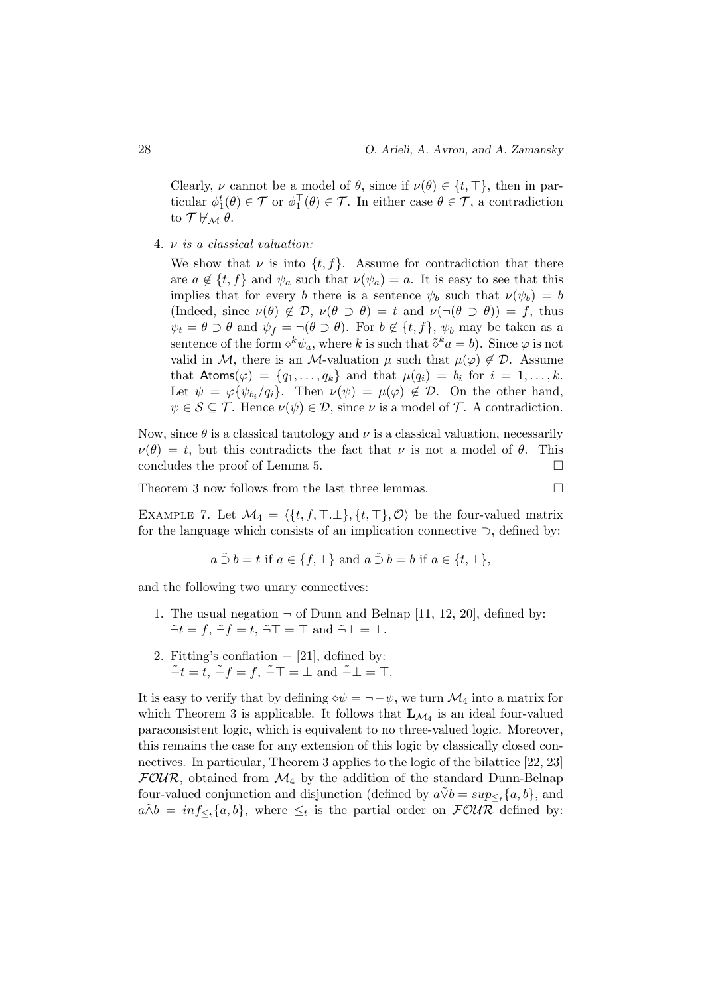Clearly,  $\nu$  cannot be a model of  $\theta$ , since if  $\nu(\theta) \in \{t, \top\}$ , then in particular  $\phi_1^t(\theta) \in \mathcal{T}$  or  $\phi_1^{\top}(\theta) \in \mathcal{T}$ . In either case  $\theta \in \mathcal{T}$ , a contradiction to  $\mathcal{T} \not\models_{\mathcal{M}} \theta$ .

4. ν is a classical valuation:

We show that  $\nu$  is into  $\{t, f\}$ . Assume for contradiction that there are  $a \notin \{t, f\}$  and  $\psi_a$  such that  $\nu(\psi_a) = a$ . It is easy to see that this implies that for every b there is a sentence  $\psi_b$  such that  $\nu(\psi_b) = b$ (Indeed, since  $\nu(\theta) \notin \mathcal{D}$ ,  $\nu(\theta \supset \theta) = t$  and  $\nu(\neg(\theta \supset \theta)) = f$ , thus  $\psi_t = \theta \supset \theta$  and  $\psi_f = \neg(\theta \supset \theta)$ . For  $b \notin \{t, f\}$ ,  $\psi_b$  may be taken as a sentence of the form  $\diamond^k \psi_a$ , where k is such that  $\tilde{\diamond}^k a = b$ . Since  $\varphi$  is not valid in M, there is an M-valuation  $\mu$  such that  $\mu(\varphi) \notin \mathcal{D}$ . Assume that  $\text{Atoms}(\varphi) = \{q_1, \ldots, q_k\}$  and that  $\mu(q_i) = b_i$  for  $i = 1, \ldots, k$ . Let  $\psi = \varphi \{ \psi_{b_i}/q_i \}$ . Then  $\nu(\psi) = \mu(\varphi) \notin \mathcal{D}$ . On the other hand,  $\psi \in \mathcal{S} \subseteq \mathcal{T}$ . Hence  $\nu(\psi) \in \mathcal{D}$ , since  $\nu$  is a model of  $\mathcal{T}$ . A contradiction.

Now, since  $\theta$  is a classical tautology and  $\nu$  is a classical valuation, necessarily  $\nu(\theta) = t$ , but this contradicts the fact that  $\nu$  is not a model of  $\theta$ . This concludes the proof of Lemma 5.

Theorem 3 now follows from the last three lemmas.  $\hfill \Box$ 

$$
\overline{a}
$$

EXAMPLE 7. Let  $\mathcal{M}_4 = \langle \{t, f, \top, \bot\}, \{t, \top\}, \mathcal{O} \rangle$  be the four-valued matrix for the language which consists of an implication connective ⊃, defined by:

$$
a \tilde{\supset} b = t
$$
 if  $a \in \{f, \perp\}$  and  $a \tilde{\supset} b = b$  if  $a \in \{t, \top\}$ ,

and the following two unary connectives:

- 1. The usual negation  $\neg$  of Dunn and Belnap [11, 12, 20], defined by:  $\tilde{\neg} t = f$ ,  $\tilde{\neg} f = t$ ,  $\tilde{\neg} \top = \top$  and  $\tilde{\neg} \bot = \bot$ .
- 2. Fitting's conflation  $-$  [21], defined by:  $-t = t$ ,  $-t = f$ ,  $-T = \bot$  and  $-1 = T$ .

It is easy to verify that by defining  $\diamond \psi = \neg - \psi$ , we turn  $\mathcal{M}_4$  into a matrix for which Theorem 3 is applicable. It follows that  $\mathbf{L}_{\mathcal{M}_4}$  is an ideal four-valued paraconsistent logic, which is equivalent to no three-valued logic. Moreover, this remains the case for any extension of this logic by classically closed connectives. In particular, Theorem 3 applies to the logic of the bilattice [22, 23]  $FOUR$ , obtained from  $\mathcal{M}_4$  by the addition of the standard Dunn-Belnap four-valued conjunction and disjunction (defined by  $a\tilde{\vee}b = sup_{\leq t}{a, b}$ , and  $a \tilde{\wedge} b = inf_{\leq t} \{a, b\},$  where  $\leq_t$  is the partial order on  $\mathcal{FOUR}$  defined by: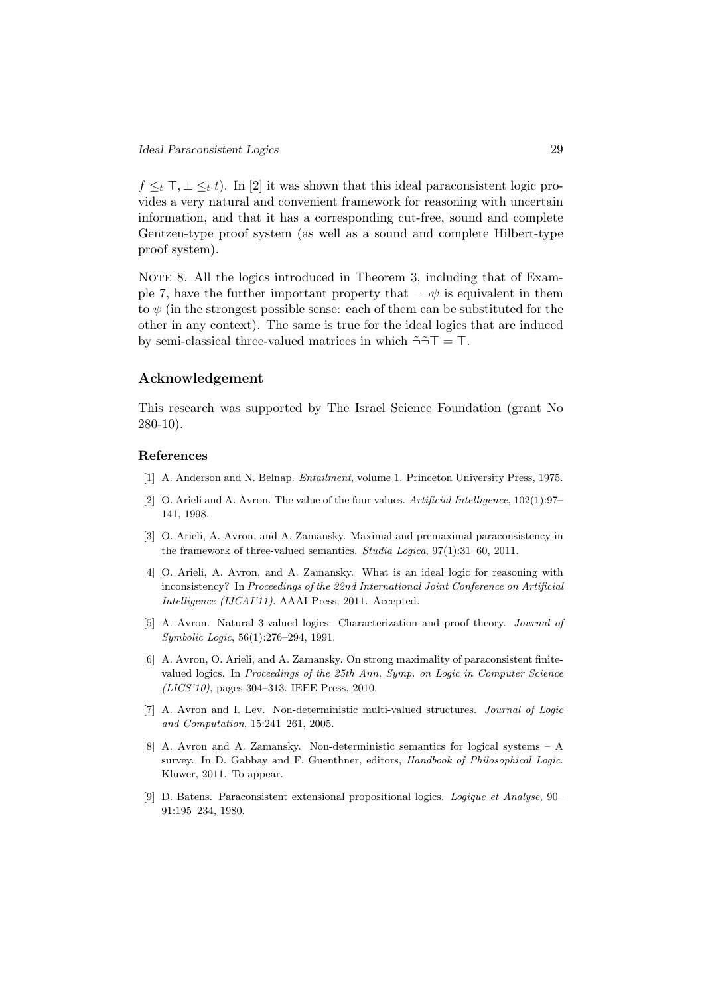$f \leq_t \top, \bot \leq_t t$ ). In [2] it was shown that this ideal paraconsistent logic provides a very natural and convenient framework for reasoning with uncertain information, and that it has a corresponding cut-free, sound and complete Gentzen-type proof system (as well as a sound and complete Hilbert-type proof system).

NOTE 8. All the logics introduced in Theorem 3, including that of Example 7, have the further important property that  $\neg\neg\psi$  is equivalent in them to  $\psi$  (in the strongest possible sense: each of them can be substituted for the other in any context). The same is true for the ideal logics that are induced by semi-classical three-valued matrices in which  $\tilde{\neg} \tilde{\neg} T = T$ .

# Acknowledgement

This research was supported by The Israel Science Foundation (grant No 280-10).

#### References

- [1] A. Anderson and N. Belnap. Entailment, volume 1. Princeton University Press, 1975.
- [2] O. Arieli and A. Avron. The value of the four values. Artificial Intelligence, 102(1):97– 141, 1998.
- [3] O. Arieli, A. Avron, and A. Zamansky. Maximal and premaximal paraconsistency in the framework of three-valued semantics. Studia Logica, 97(1):31–60, 2011.
- [4] O. Arieli, A. Avron, and A. Zamansky. What is an ideal logic for reasoning with inconsistency? In Proceedings of the 22nd International Joint Conference on Artificial Intelligence (IJCAI'11). AAAI Press, 2011. Accepted.
- [5] A. Avron. Natural 3-valued logics: Characterization and proof theory. Journal of Symbolic Logic, 56(1):276–294, 1991.
- [6] A. Avron, O. Arieli, and A. Zamansky. On strong maximality of paraconsistent finitevalued logics. In Proceedings of the 25th Ann. Symp. on Logic in Computer Science (LICS'10), pages 304–313. IEEE Press, 2010.
- [7] A. Avron and I. Lev. Non-deterministic multi-valued structures. Journal of Logic and Computation, 15:241–261, 2005.
- [8] A. Avron and A. Zamansky. Non-deterministic semantics for logical systems A survey. In D. Gabbay and F. Guenthner, editors, Handbook of Philosophical Logic. Kluwer, 2011. To appear.
- [9] D. Batens. Paraconsistent extensional propositional logics. Logique et Analyse, 90– 91:195–234, 1980.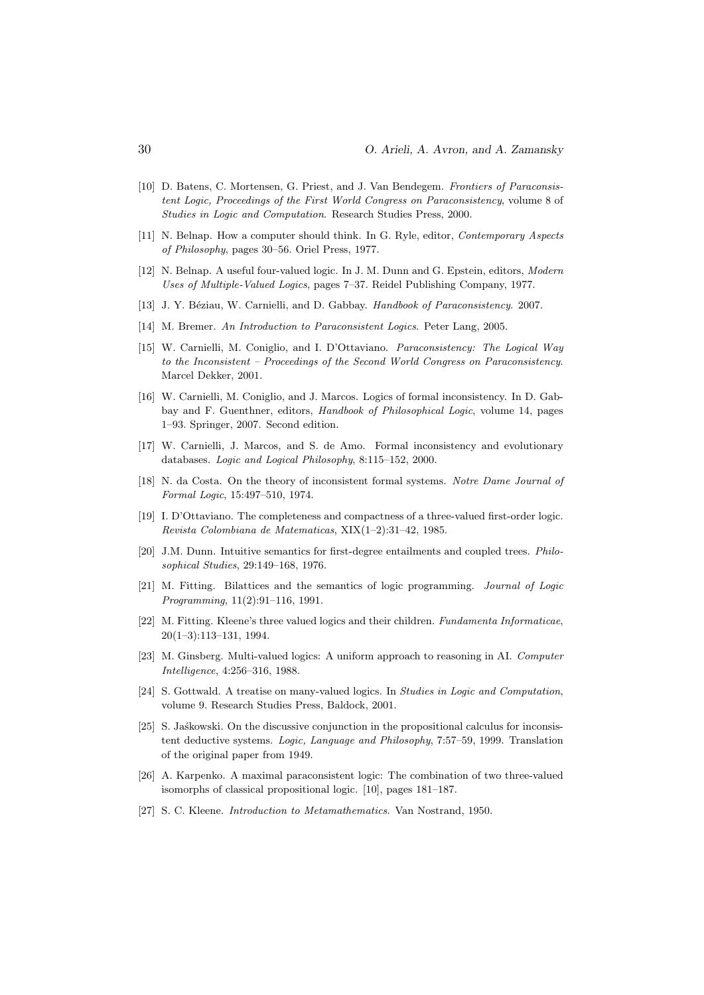- [10] D. Batens, C. Mortensen, G. Priest, and J. Van Bendegem. Frontiers of Paraconsistent Logic, Proceedings of the First World Congress on Paraconsistency, volume 8 of Studies in Logic and Computation. Research Studies Press, 2000.
- [11] N. Belnap. How a computer should think. In G. Ryle, editor, Contemporary Aspects of Philosophy, pages 30–56. Oriel Press, 1977.
- [12] N. Belnap. A useful four-valued logic. In J. M. Dunn and G. Epstein, editors, Modern Uses of Multiple-Valued Logics, pages 7–37. Reidel Publishing Company, 1977.
- [13] J. Y. Béziau, W. Carnielli, and D. Gabbay. Handbook of Paraconsistency. 2007.
- [14] M. Bremer. An Introduction to Paraconsistent Logics. Peter Lang, 2005.
- [15] W. Carnielli, M. Coniglio, and I. D'Ottaviano. Paraconsistency: The Logical Way to the Inconsistent – Proceedings of the Second World Congress on Paraconsistency. Marcel Dekker, 2001.
- [16] W. Carnielli, M. Coniglio, and J. Marcos. Logics of formal inconsistency. In D. Gabbay and F. Guenthner, editors, Handbook of Philosophical Logic, volume 14, pages 1–93. Springer, 2007. Second edition.
- [17] W. Carnielli, J. Marcos, and S. de Amo. Formal inconsistency and evolutionary databases. Logic and Logical Philosophy, 8:115–152, 2000.
- [18] N. da Costa. On the theory of inconsistent formal systems. Notre Dame Journal of Formal Logic, 15:497–510, 1974.
- [19] I. D'Ottaviano. The completeness and compactness of a three-valued first-order logic. Revista Colombiana de Matematicas, XIX(1–2):31–42, 1985.
- [20] J.M. Dunn. Intuitive semantics for first-degree entailments and coupled trees. Philosophical Studies, 29:149–168, 1976.
- [21] M. Fitting. Bilattices and the semantics of logic programming. Journal of Logic Programming, 11(2):91–116, 1991.
- [22] M. Fitting. Kleene's three valued logics and their children. Fundamenta Informaticae, 20(1–3):113–131, 1994.
- [23] M. Ginsberg. Multi-valued logics: A uniform approach to reasoning in AI. Computer Intelligence, 4:256–316, 1988.
- [24] S. Gottwald. A treatise on many-valued logics. In Studies in Logic and Computation, volume 9. Research Studies Press, Baldock, 2001.
- [25] S. Jaskowski. On the discussive conjunction in the propositional calculus for inconsistent deductive systems. Logic, Language and Philosophy, 7:57–59, 1999. Translation of the original paper from 1949.
- [26] A. Karpenko. A maximal paraconsistent logic: The combination of two three-valued isomorphs of classical propositional logic. [10], pages 181–187.
- [27] S. C. Kleene. Introduction to Metamathematics. Van Nostrand, 1950.